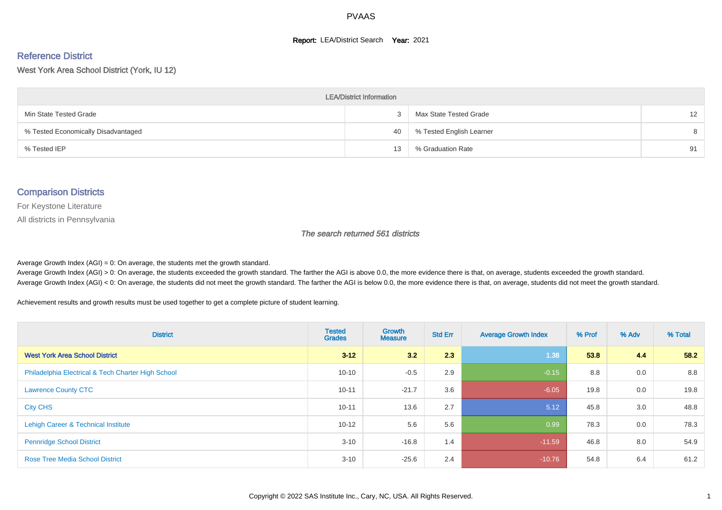#### **Report: LEA/District Search Year: 2021**

# Reference District

West York Area School District (York, IU 12)

| <b>LEA/District Information</b>     |    |                          |                   |  |  |  |  |  |  |  |
|-------------------------------------|----|--------------------------|-------------------|--|--|--|--|--|--|--|
| Min State Tested Grade              |    | Max State Tested Grade   | $12 \overline{ }$ |  |  |  |  |  |  |  |
| % Tested Economically Disadvantaged | 40 | % Tested English Learner | 8                 |  |  |  |  |  |  |  |
| % Tested IEP                        | 13 | % Graduation Rate        | 91                |  |  |  |  |  |  |  |

#### Comparison Districts

For Keystone Literature

All districts in Pennsylvania

The search returned 561 districts

Average Growth Index  $(AGI) = 0$ : On average, the students met the growth standard.

Average Growth Index (AGI) > 0: On average, the students exceeded the growth standard. The farther the AGI is above 0.0, the more evidence there is that, on average, students exceeded the growth standard. Average Growth Index (AGI) < 0: On average, the students did not meet the growth standard. The farther the AGI is below 0.0, the more evidence there is that, on average, students did not meet the growth standard.

Achievement results and growth results must be used together to get a complete picture of student learning.

| <b>District</b>                                    | <b>Tested</b><br><b>Grades</b> | Growth<br><b>Measure</b> | <b>Std Err</b> | <b>Average Growth Index</b> | % Prof | % Adv | % Total |
|----------------------------------------------------|--------------------------------|--------------------------|----------------|-----------------------------|--------|-------|---------|
| <b>West York Area School District</b>              | $3 - 12$                       | 3.2                      | 2.3            | 1.38                        | 53.8   | 4.4   | 58.2    |
| Philadelphia Electrical & Tech Charter High School | $10 - 10$                      | $-0.5$                   | 2.9            | $-0.15$                     | 8.8    | 0.0   | 8.8     |
| <b>Lawrence County CTC</b>                         | $10 - 11$                      | $-21.7$                  | 3.6            | $-6.05$                     | 19.8   | 0.0   | 19.8    |
| <b>City CHS</b>                                    | $10 - 11$                      | 13.6                     | 2.7            | 5.12                        | 45.8   | 3.0   | 48.8    |
| Lehigh Career & Technical Institute                | $10 - 12$                      | 5.6                      | 5.6            | 0.99                        | 78.3   | 0.0   | 78.3    |
| <b>Pennridge School District</b>                   | $3 - 10$                       | $-16.8$                  | 1.4            | $-11.59$                    | 46.8   | 8.0   | 54.9    |
| <b>Rose Tree Media School District</b>             | $3 - 10$                       | $-25.6$                  | 2.4            | $-10.76$                    | 54.8   | 6.4   | 61.2    |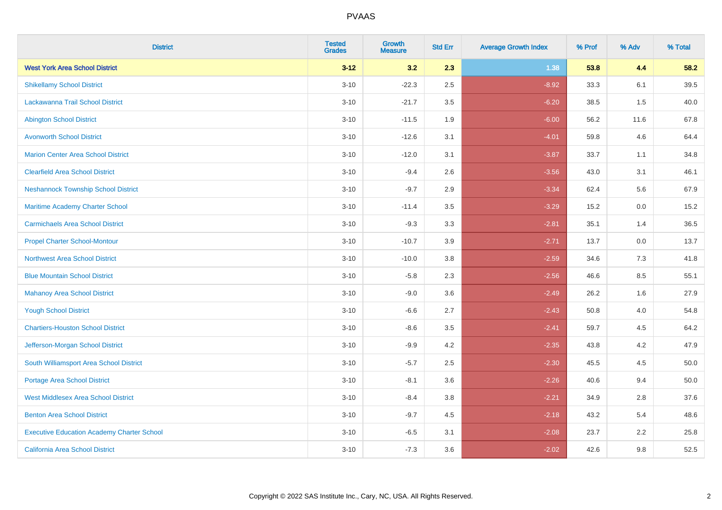| <b>District</b>                                   | <b>Tested</b><br><b>Grades</b> | <b>Growth</b><br><b>Measure</b> | <b>Std Err</b> | <b>Average Growth Index</b> | % Prof | % Adv | % Total  |
|---------------------------------------------------|--------------------------------|---------------------------------|----------------|-----------------------------|--------|-------|----------|
| <b>West York Area School District</b>             | $3 - 12$                       | 3.2                             | 2.3            | 1.38                        | 53.8   | 4.4   | 58.2     |
| <b>Shikellamy School District</b>                 | $3 - 10$                       | $-22.3$                         | 2.5            | $-8.92$                     | 33.3   | 6.1   | 39.5     |
| Lackawanna Trail School District                  | $3 - 10$                       | $-21.7$                         | 3.5            | $-6.20$                     | 38.5   | 1.5   | 40.0     |
| <b>Abington School District</b>                   | $3 - 10$                       | $-11.5$                         | 1.9            | $-6.00$                     | 56.2   | 11.6  | 67.8     |
| <b>Avonworth School District</b>                  | $3 - 10$                       | $-12.6$                         | 3.1            | $-4.01$                     | 59.8   | 4.6   | 64.4     |
| <b>Marion Center Area School District</b>         | $3 - 10$                       | $-12.0$                         | 3.1            | $-3.87$                     | 33.7   | 1.1   | 34.8     |
| <b>Clearfield Area School District</b>            | $3 - 10$                       | $-9.4$                          | 2.6            | $-3.56$                     | 43.0   | 3.1   | 46.1     |
| <b>Neshannock Township School District</b>        | $3 - 10$                       | $-9.7$                          | 2.9            | $-3.34$                     | 62.4   | 5.6   | 67.9     |
| <b>Maritime Academy Charter School</b>            | $3 - 10$                       | $-11.4$                         | 3.5            | $-3.29$                     | 15.2   | 0.0   | 15.2     |
| <b>Carmichaels Area School District</b>           | $3 - 10$                       | $-9.3$                          | 3.3            | $-2.81$                     | 35.1   | 1.4   | 36.5     |
| <b>Propel Charter School-Montour</b>              | $3 - 10$                       | $-10.7$                         | 3.9            | $-2.71$                     | 13.7   | 0.0   | 13.7     |
| Northwest Area School District                    | $3 - 10$                       | $-10.0$                         | 3.8            | $-2.59$                     | 34.6   | 7.3   | 41.8     |
| <b>Blue Mountain School District</b>              | $3 - 10$                       | $-5.8$                          | 2.3            | $-2.56$                     | 46.6   | 8.5   | 55.1     |
| <b>Mahanoy Area School District</b>               | $3 - 10$                       | $-9.0$                          | 3.6            | $-2.49$                     | 26.2   | 1.6   | 27.9     |
| <b>Yough School District</b>                      | $3 - 10$                       | $-6.6$                          | 2.7            | $-2.43$                     | 50.8   | 4.0   | 54.8     |
| <b>Chartiers-Houston School District</b>          | $3 - 10$                       | $-8.6$                          | 3.5            | $-2.41$                     | 59.7   | 4.5   | 64.2     |
| Jefferson-Morgan School District                  | $3 - 10$                       | $-9.9$                          | 4.2            | $-2.35$                     | 43.8   | 4.2   | 47.9     |
| South Williamsport Area School District           | $3 - 10$                       | $-5.7$                          | 2.5            | $-2.30$                     | 45.5   | 4.5   | $50.0\,$ |
| <b>Portage Area School District</b>               | $3 - 10$                       | $-8.1$                          | 3.6            | $-2.26$                     | 40.6   | 9.4   | 50.0     |
| <b>West Middlesex Area School District</b>        | $3 - 10$                       | $-8.4$                          | 3.8            | $-2.21$                     | 34.9   | 2.8   | 37.6     |
| <b>Benton Area School District</b>                | $3 - 10$                       | $-9.7$                          | 4.5            | $-2.18$                     | 43.2   | 5.4   | 48.6     |
| <b>Executive Education Academy Charter School</b> | $3 - 10$                       | $-6.5$                          | 3.1            | $-2.08$                     | 23.7   | 2.2   | 25.8     |
| <b>California Area School District</b>            | $3 - 10$                       | $-7.3$                          | 3.6            | $-2.02$                     | 42.6   | 9.8   | 52.5     |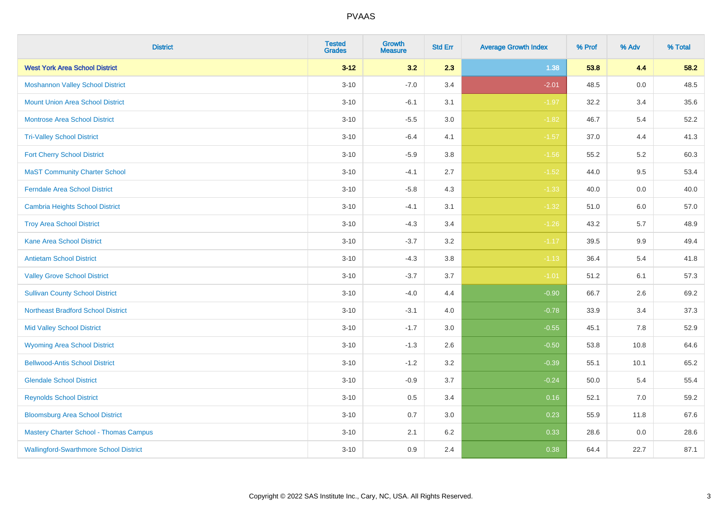| <b>District</b>                               | <b>Tested</b><br><b>Grades</b> | <b>Growth</b><br><b>Measure</b> | <b>Std Err</b> | <b>Average Growth Index</b> | % Prof | % Adv   | % Total |
|-----------------------------------------------|--------------------------------|---------------------------------|----------------|-----------------------------|--------|---------|---------|
| <b>West York Area School District</b>         | $3 - 12$                       | 3.2                             | 2.3            | 1.38                        | 53.8   | 4.4     | 58.2    |
| <b>Moshannon Valley School District</b>       | $3 - 10$                       | $-7.0$                          | 3.4            | $-2.01$                     | 48.5   | $0.0\,$ | 48.5    |
| <b>Mount Union Area School District</b>       | $3 - 10$                       | $-6.1$                          | 3.1            | $-1.97$                     | 32.2   | 3.4     | 35.6    |
| <b>Montrose Area School District</b>          | $3 - 10$                       | $-5.5$                          | $3.0\,$        | $-1.82$                     | 46.7   | 5.4     | 52.2    |
| <b>Tri-Valley School District</b>             | $3 - 10$                       | $-6.4$                          | 4.1            | $-1.57$                     | 37.0   | 4.4     | 41.3    |
| <b>Fort Cherry School District</b>            | $3 - 10$                       | $-5.9$                          | 3.8            | $-1.56$                     | 55.2   | $5.2\,$ | 60.3    |
| <b>MaST Community Charter School</b>          | $3 - 10$                       | $-4.1$                          | 2.7            | $-1.52$                     | 44.0   | 9.5     | 53.4    |
| <b>Ferndale Area School District</b>          | $3 - 10$                       | $-5.8$                          | 4.3            | $-1.33$                     | 40.0   | 0.0     | 40.0    |
| <b>Cambria Heights School District</b>        | $3 - 10$                       | $-4.1$                          | 3.1            | $-1.32$                     | 51.0   | 6.0     | 57.0    |
| <b>Troy Area School District</b>              | $3 - 10$                       | $-4.3$                          | 3.4            | $-1.26$                     | 43.2   | 5.7     | 48.9    |
| <b>Kane Area School District</b>              | $3 - 10$                       | $-3.7$                          | 3.2            | $-1.17$                     | 39.5   | 9.9     | 49.4    |
| <b>Antietam School District</b>               | $3 - 10$                       | $-4.3$                          | 3.8            | $-1.13$                     | 36.4   | 5.4     | 41.8    |
| <b>Valley Grove School District</b>           | $3 - 10$                       | $-3.7$                          | 3.7            | $-1.01$                     | 51.2   | 6.1     | 57.3    |
| <b>Sullivan County School District</b>        | $3 - 10$                       | $-4.0$                          | 4.4            | $-0.90$                     | 66.7   | 2.6     | 69.2    |
| <b>Northeast Bradford School District</b>     | $3 - 10$                       | $-3.1$                          | 4.0            | $-0.78$                     | 33.9   | 3.4     | 37.3    |
| <b>Mid Valley School District</b>             | $3 - 10$                       | $-1.7$                          | 3.0            | $-0.55$                     | 45.1   | 7.8     | 52.9    |
| <b>Wyoming Area School District</b>           | $3 - 10$                       | $-1.3$                          | 2.6            | $-0.50$                     | 53.8   | 10.8    | 64.6    |
| <b>Bellwood-Antis School District</b>         | $3 - 10$                       | $-1.2$                          | 3.2            | $-0.39$                     | 55.1   | 10.1    | 65.2    |
| <b>Glendale School District</b>               | $3 - 10$                       | $-0.9$                          | 3.7            | $-0.24$                     | 50.0   | 5.4     | 55.4    |
| <b>Reynolds School District</b>               | $3 - 10$                       | 0.5                             | 3.4            | 0.16                        | 52.1   | 7.0     | 59.2    |
| <b>Bloomsburg Area School District</b>        | $3 - 10$                       | 0.7                             | 3.0            | 0.23                        | 55.9   | 11.8    | 67.6    |
| <b>Mastery Charter School - Thomas Campus</b> | $3 - 10$                       | 2.1                             | 6.2            | 0.33                        | 28.6   | 0.0     | 28.6    |
| <b>Wallingford-Swarthmore School District</b> | $3 - 10$                       | 0.9                             | 2.4            | 0.38                        | 64.4   | 22.7    | 87.1    |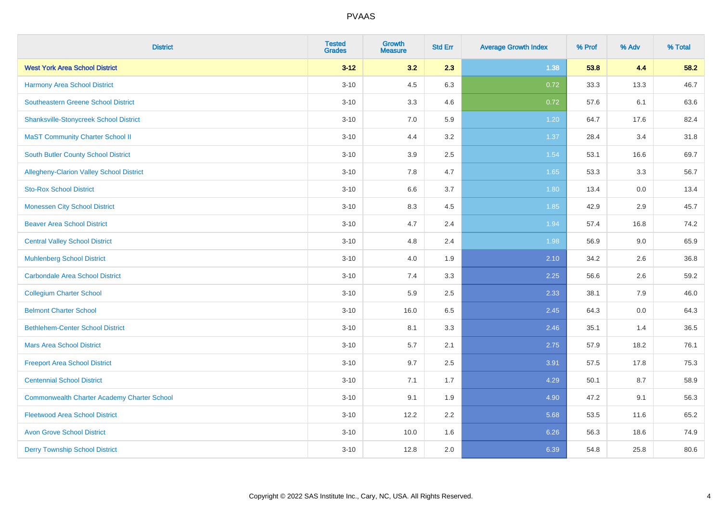| <b>District</b>                                    | <b>Tested</b><br><b>Grades</b> | <b>Growth</b><br><b>Measure</b> | <b>Std Err</b> | <b>Average Growth Index</b> | % Prof | % Adv | % Total |
|----------------------------------------------------|--------------------------------|---------------------------------|----------------|-----------------------------|--------|-------|---------|
| <b>West York Area School District</b>              | $3 - 12$                       | 3.2                             | 2.3            | 1.38                        | 53.8   | 4.4   | 58.2    |
| Harmony Area School District                       | $3 - 10$                       | 4.5                             | 6.3            | 0.72                        | 33.3   | 13.3  | 46.7    |
| <b>Southeastern Greene School District</b>         | $3 - 10$                       | 3.3                             | 4.6            | 0.72                        | 57.6   | 6.1   | 63.6    |
| <b>Shanksville-Stonycreek School District</b>      | $3 - 10$                       | 7.0                             | 5.9            | 1.20                        | 64.7   | 17.6  | 82.4    |
| <b>MaST Community Charter School II</b>            | $3 - 10$                       | 4.4                             | 3.2            | 1.37                        | 28.4   | 3.4   | 31.8    |
| South Butler County School District                | $3 - 10$                       | 3.9                             | 2.5            | 1.54                        | 53.1   | 16.6  | 69.7    |
| <b>Allegheny-Clarion Valley School District</b>    | $3 - 10$                       | 7.8                             | 4.7            | 1.65                        | 53.3   | 3.3   | 56.7    |
| <b>Sto-Rox School District</b>                     | $3 - 10$                       | 6.6                             | 3.7            | 1.80                        | 13.4   | 0.0   | 13.4    |
| <b>Monessen City School District</b>               | $3 - 10$                       | 8.3                             | 4.5            | 1.85                        | 42.9   | 2.9   | 45.7    |
| <b>Beaver Area School District</b>                 | $3 - 10$                       | 4.7                             | 2.4            | 1.94                        | 57.4   | 16.8  | 74.2    |
| <b>Central Valley School District</b>              | $3 - 10$                       | 4.8                             | 2.4            | 1.98                        | 56.9   | 9.0   | 65.9    |
| <b>Muhlenberg School District</b>                  | $3 - 10$                       | 4.0                             | 1.9            | 2.10                        | 34.2   | 2.6   | 36.8    |
| <b>Carbondale Area School District</b>             | $3 - 10$                       | 7.4                             | 3.3            | 2.25                        | 56.6   | 2.6   | 59.2    |
| <b>Collegium Charter School</b>                    | $3 - 10$                       | 5.9                             | 2.5            | 2.33                        | 38.1   | 7.9   | 46.0    |
| <b>Belmont Charter School</b>                      | $3 - 10$                       | 16.0                            | 6.5            | 2.45                        | 64.3   | 0.0   | 64.3    |
| <b>Bethlehem-Center School District</b>            | $3 - 10$                       | 8.1                             | 3.3            | 2.46                        | 35.1   | 1.4   | 36.5    |
| <b>Mars Area School District</b>                   | $3 - 10$                       | 5.7                             | 2.1            | 2.75                        | 57.9   | 18.2  | 76.1    |
| <b>Freeport Area School District</b>               | $3 - 10$                       | 9.7                             | 2.5            | 3.91                        | 57.5   | 17.8  | 75.3    |
| <b>Centennial School District</b>                  | $3 - 10$                       | 7.1                             | 1.7            | 4.29                        | 50.1   | 8.7   | 58.9    |
| <b>Commonwealth Charter Academy Charter School</b> | $3 - 10$                       | 9.1                             | 1.9            | 4.90                        | 47.2   | 9.1   | 56.3    |
| <b>Fleetwood Area School District</b>              | $3 - 10$                       | 12.2                            | 2.2            | 5.68                        | 53.5   | 11.6  | 65.2    |
| <b>Avon Grove School District</b>                  | $3 - 10$                       | 10.0                            | 1.6            | 6.26                        | 56.3   | 18.6  | 74.9    |
| <b>Derry Township School District</b>              | $3 - 10$                       | 12.8                            | 2.0            | 6.39                        | 54.8   | 25.8  | 80.6    |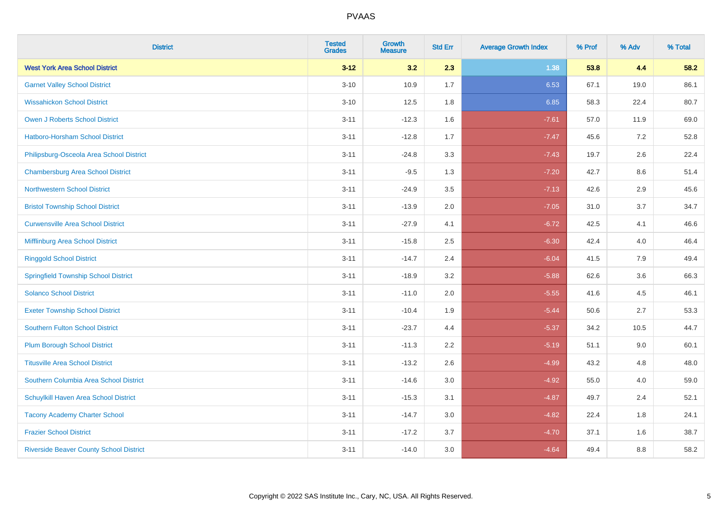| <b>District</b>                                | <b>Tested</b><br><b>Grades</b> | <b>Growth</b><br><b>Measure</b> | <b>Std Err</b> | <b>Average Growth Index</b> | % Prof | % Adv | % Total |
|------------------------------------------------|--------------------------------|---------------------------------|----------------|-----------------------------|--------|-------|---------|
| <b>West York Area School District</b>          | $3 - 12$                       | 3.2                             | 2.3            | 1.38                        | 53.8   | 4.4   | 58.2    |
| <b>Garnet Valley School District</b>           | $3 - 10$                       | 10.9                            | 1.7            | 6.53                        | 67.1   | 19.0  | 86.1    |
| <b>Wissahickon School District</b>             | $3 - 10$                       | 12.5                            | 1.8            | 6.85                        | 58.3   | 22.4  | 80.7    |
| <b>Owen J Roberts School District</b>          | $3 - 11$                       | $-12.3$                         | 1.6            | $-7.61$                     | 57.0   | 11.9  | 69.0    |
| Hatboro-Horsham School District                | $3 - 11$                       | $-12.8$                         | 1.7            | $-7.47$                     | 45.6   | 7.2   | 52.8    |
| Philipsburg-Osceola Area School District       | $3 - 11$                       | $-24.8$                         | 3.3            | $-7.43$                     | 19.7   | 2.6   | 22.4    |
| <b>Chambersburg Area School District</b>       | $3 - 11$                       | $-9.5$                          | 1.3            | $-7.20$                     | 42.7   | 8.6   | 51.4    |
| <b>Northwestern School District</b>            | $3 - 11$                       | $-24.9$                         | 3.5            | $-7.13$                     | 42.6   | 2.9   | 45.6    |
| <b>Bristol Township School District</b>        | $3 - 11$                       | $-13.9$                         | 2.0            | $-7.05$                     | 31.0   | 3.7   | 34.7    |
| <b>Curwensville Area School District</b>       | $3 - 11$                       | $-27.9$                         | 4.1            | $-6.72$                     | 42.5   | 4.1   | 46.6    |
| Mifflinburg Area School District               | $3 - 11$                       | $-15.8$                         | 2.5            | $-6.30$                     | 42.4   | 4.0   | 46.4    |
| <b>Ringgold School District</b>                | $3 - 11$                       | $-14.7$                         | 2.4            | $-6.04$                     | 41.5   | 7.9   | 49.4    |
| <b>Springfield Township School District</b>    | $3 - 11$                       | $-18.9$                         | 3.2            | $-5.88$                     | 62.6   | 3.6   | 66.3    |
| <b>Solanco School District</b>                 | $3 - 11$                       | $-11.0$                         | 2.0            | $-5.55$                     | 41.6   | 4.5   | 46.1    |
| <b>Exeter Township School District</b>         | $3 - 11$                       | $-10.4$                         | 1.9            | $-5.44$                     | 50.6   | 2.7   | 53.3    |
| <b>Southern Fulton School District</b>         | $3 - 11$                       | $-23.7$                         | 4.4            | $-5.37$                     | 34.2   | 10.5  | 44.7    |
| Plum Borough School District                   | $3 - 11$                       | $-11.3$                         | 2.2            | $-5.19$                     | 51.1   | 9.0   | 60.1    |
| <b>Titusville Area School District</b>         | $3 - 11$                       | $-13.2$                         | 2.6            | $-4.99$                     | 43.2   | 4.8   | 48.0    |
| Southern Columbia Area School District         | $3 - 11$                       | $-14.6$                         | 3.0            | $-4.92$                     | 55.0   | 4.0   | 59.0    |
| Schuylkill Haven Area School District          | $3 - 11$                       | $-15.3$                         | 3.1            | $-4.87$                     | 49.7   | 2.4   | 52.1    |
| <b>Tacony Academy Charter School</b>           | $3 - 11$                       | $-14.7$                         | 3.0            | $-4.82$                     | 22.4   | 1.8   | 24.1    |
| <b>Frazier School District</b>                 | $3 - 11$                       | $-17.2$                         | 3.7            | $-4.70$                     | 37.1   | 1.6   | 38.7    |
| <b>Riverside Beaver County School District</b> | $3 - 11$                       | $-14.0$                         | 3.0            | $-4.64$                     | 49.4   | 8.8   | 58.2    |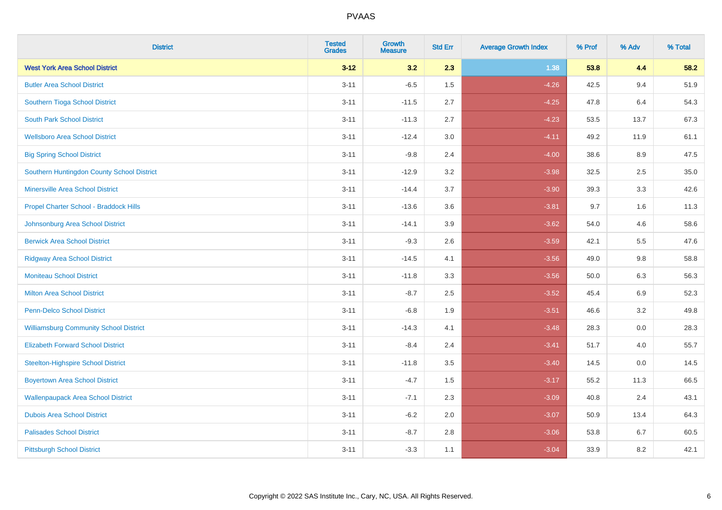| <b>District</b>                               | <b>Tested</b><br><b>Grades</b> | <b>Growth</b><br><b>Measure</b> | <b>Std Err</b> | <b>Average Growth Index</b> | % Prof | % Adv   | % Total |
|-----------------------------------------------|--------------------------------|---------------------------------|----------------|-----------------------------|--------|---------|---------|
| <b>West York Area School District</b>         | $3 - 12$                       | 3.2                             | 2.3            | 1.38                        | 53.8   | 4.4     | 58.2    |
| <b>Butler Area School District</b>            | $3 - 11$                       | $-6.5$                          | 1.5            | $-4.26$                     | 42.5   | 9.4     | 51.9    |
| Southern Tioga School District                | $3 - 11$                       | $-11.5$                         | 2.7            | $-4.25$                     | 47.8   | 6.4     | 54.3    |
| <b>South Park School District</b>             | $3 - 11$                       | $-11.3$                         | 2.7            | $-4.23$                     | 53.5   | 13.7    | 67.3    |
| <b>Wellsboro Area School District</b>         | $3 - 11$                       | $-12.4$                         | 3.0            | $-4.11$                     | 49.2   | 11.9    | 61.1    |
| <b>Big Spring School District</b>             | $3 - 11$                       | $-9.8$                          | 2.4            | $-4.00$                     | 38.6   | 8.9     | 47.5    |
| Southern Huntingdon County School District    | $3 - 11$                       | $-12.9$                         | 3.2            | $-3.98$                     | 32.5   | 2.5     | 35.0    |
| <b>Minersville Area School District</b>       | $3 - 11$                       | $-14.4$                         | 3.7            | $-3.90$                     | 39.3   | 3.3     | 42.6    |
| Propel Charter School - Braddock Hills        | $3 - 11$                       | $-13.6$                         | 3.6            | $-3.81$                     | 9.7    | 1.6     | 11.3    |
| Johnsonburg Area School District              | $3 - 11$                       | $-14.1$                         | 3.9            | $-3.62$                     | 54.0   | 4.6     | 58.6    |
| <b>Berwick Area School District</b>           | $3 - 11$                       | $-9.3$                          | 2.6            | $-3.59$                     | 42.1   | 5.5     | 47.6    |
| <b>Ridgway Area School District</b>           | $3 - 11$                       | $-14.5$                         | 4.1            | $-3.56$                     | 49.0   | 9.8     | 58.8    |
| <b>Moniteau School District</b>               | $3 - 11$                       | $-11.8$                         | 3.3            | $-3.56$                     | 50.0   | $6.3\,$ | 56.3    |
| <b>Milton Area School District</b>            | $3 - 11$                       | $-8.7$                          | 2.5            | $-3.52$                     | 45.4   | 6.9     | 52.3    |
| <b>Penn-Delco School District</b>             | $3 - 11$                       | $-6.8$                          | 1.9            | $-3.51$                     | 46.6   | 3.2     | 49.8    |
| <b>Williamsburg Community School District</b> | $3 - 11$                       | $-14.3$                         | 4.1            | $-3.48$                     | 28.3   | $0.0\,$ | 28.3    |
| <b>Elizabeth Forward School District</b>      | $3 - 11$                       | $-8.4$                          | 2.4            | $-3.41$                     | 51.7   | 4.0     | 55.7    |
| <b>Steelton-Highspire School District</b>     | $3 - 11$                       | $-11.8$                         | 3.5            | $-3.40$                     | 14.5   | 0.0     | 14.5    |
| <b>Boyertown Area School District</b>         | $3 - 11$                       | $-4.7$                          | 1.5            | $-3.17$                     | 55.2   | 11.3    | 66.5    |
| <b>Wallenpaupack Area School District</b>     | $3 - 11$                       | $-7.1$                          | 2.3            | $-3.09$                     | 40.8   | 2.4     | 43.1    |
| <b>Dubois Area School District</b>            | $3 - 11$                       | $-6.2$                          | 2.0            | $-3.07$                     | 50.9   | 13.4    | 64.3    |
| <b>Palisades School District</b>              | $3 - 11$                       | $-8.7$                          | 2.8            | $-3.06$                     | 53.8   | 6.7     | 60.5    |
| <b>Pittsburgh School District</b>             | $3 - 11$                       | $-3.3$                          | 1.1            | $-3.04$                     | 33.9   | 8.2     | 42.1    |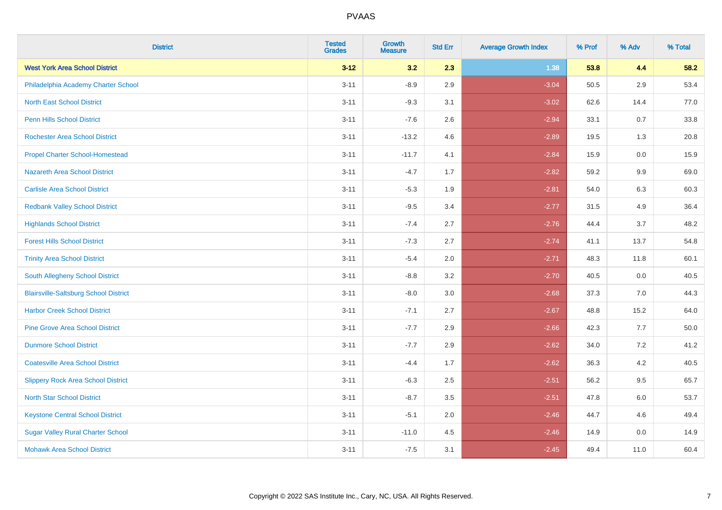| <b>District</b>                              | <b>Tested</b><br><b>Grades</b> | <b>Growth</b><br><b>Measure</b> | <b>Std Err</b> | <b>Average Growth Index</b> | % Prof | % Adv   | % Total |
|----------------------------------------------|--------------------------------|---------------------------------|----------------|-----------------------------|--------|---------|---------|
| <b>West York Area School District</b>        | $3 - 12$                       | 3.2                             | 2.3            | 1.38                        | 53.8   | 4.4     | 58.2    |
| Philadelphia Academy Charter School          | $3 - 11$                       | $-8.9$                          | 2.9            | $-3.04$                     | 50.5   | 2.9     | 53.4    |
| <b>North East School District</b>            | $3 - 11$                       | $-9.3$                          | 3.1            | $-3.02$                     | 62.6   | 14.4    | 77.0    |
| <b>Penn Hills School District</b>            | $3 - 11$                       | $-7.6$                          | 2.6            | $-2.94$                     | 33.1   | 0.7     | 33.8    |
| <b>Rochester Area School District</b>        | $3 - 11$                       | $-13.2$                         | 4.6            | $-2.89$                     | 19.5   | 1.3     | 20.8    |
| <b>Propel Charter School-Homestead</b>       | $3 - 11$                       | $-11.7$                         | 4.1            | $-2.84$                     | 15.9   | 0.0     | 15.9    |
| <b>Nazareth Area School District</b>         | $3 - 11$                       | $-4.7$                          | 1.7            | $-2.82$                     | 59.2   | 9.9     | 69.0    |
| <b>Carlisle Area School District</b>         | $3 - 11$                       | $-5.3$                          | 1.9            | $-2.81$                     | 54.0   | 6.3     | 60.3    |
| <b>Redbank Valley School District</b>        | $3 - 11$                       | $-9.5$                          | 3.4            | $-2.77$                     | 31.5   | 4.9     | 36.4    |
| <b>Highlands School District</b>             | $3 - 11$                       | $-7.4$                          | 2.7            | $-2.76$                     | 44.4   | 3.7     | 48.2    |
| <b>Forest Hills School District</b>          | $3 - 11$                       | $-7.3$                          | 2.7            | $-2.74$                     | 41.1   | 13.7    | 54.8    |
| <b>Trinity Area School District</b>          | $3 - 11$                       | $-5.4$                          | 2.0            | $-2.71$                     | 48.3   | 11.8    | 60.1    |
| South Allegheny School District              | $3 - 11$                       | $-8.8$                          | 3.2            | $-2.70$                     | 40.5   | $0.0\,$ | 40.5    |
| <b>Blairsville-Saltsburg School District</b> | $3 - 11$                       | $-8.0$                          | 3.0            | $-2.68$                     | 37.3   | 7.0     | 44.3    |
| <b>Harbor Creek School District</b>          | $3 - 11$                       | $-7.1$                          | 2.7            | $-2.67$                     | 48.8   | 15.2    | 64.0    |
| <b>Pine Grove Area School District</b>       | $3 - 11$                       | $-7.7$                          | 2.9            | $-2.66$                     | 42.3   | $7.7$   | 50.0    |
| <b>Dunmore School District</b>               | $3 - 11$                       | $-7.7$                          | 2.9            | $-2.62$                     | 34.0   | $7.2\,$ | 41.2    |
| <b>Coatesville Area School District</b>      | $3 - 11$                       | $-4.4$                          | 1.7            | $-2.62$                     | 36.3   | 4.2     | 40.5    |
| <b>Slippery Rock Area School District</b>    | $3 - 11$                       | $-6.3$                          | 2.5            | $-2.51$                     | 56.2   | 9.5     | 65.7    |
| <b>North Star School District</b>            | $3 - 11$                       | $-8.7$                          | 3.5            | $-2.51$                     | 47.8   | $6.0\,$ | 53.7    |
| <b>Keystone Central School District</b>      | $3 - 11$                       | $-5.1$                          | 2.0            | $-2.46$                     | 44.7   | 4.6     | 49.4    |
| <b>Sugar Valley Rural Charter School</b>     | $3 - 11$                       | $-11.0$                         | 4.5            | $-2.46$                     | 14.9   | 0.0     | 14.9    |
| <b>Mohawk Area School District</b>           | $3 - 11$                       | $-7.5$                          | 3.1            | $-2.45$                     | 49.4   | 11.0    | 60.4    |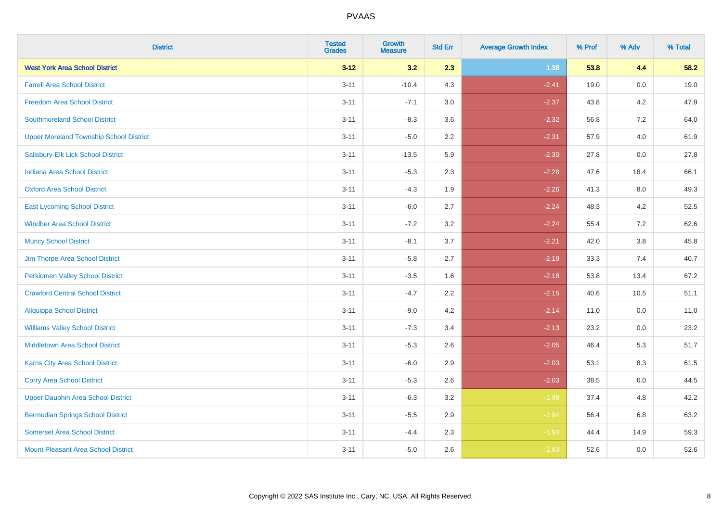| <b>District</b>                                | <b>Tested</b><br><b>Grades</b> | <b>Growth</b><br><b>Measure</b> | <b>Std Err</b> | <b>Average Growth Index</b> | % Prof | % Adv   | % Total |
|------------------------------------------------|--------------------------------|---------------------------------|----------------|-----------------------------|--------|---------|---------|
| <b>West York Area School District</b>          | $3 - 12$                       | 3.2                             | 2.3            | 1.38                        | 53.8   | 4.4     | 58.2    |
| <b>Farrell Area School District</b>            | $3 - 11$                       | $-10.4$                         | 4.3            | $-2.41$                     | 19.0   | $0.0\,$ | 19.0    |
| <b>Freedom Area School District</b>            | $3 - 11$                       | $-7.1$                          | 3.0            | $-2.37$                     | 43.8   | 4.2     | 47.9    |
| <b>Southmoreland School District</b>           | $3 - 11$                       | $-8.3$                          | 3.6            | $-2.32$                     | 56.8   | 7.2     | 64.0    |
| <b>Upper Moreland Township School District</b> | $3 - 11$                       | $-5.0$                          | 2.2            | $-2.31$                     | 57.9   | 4.0     | 61.9    |
| Salisbury-Elk Lick School District             | $3 - 11$                       | $-13.5$                         | 5.9            | $-2.30$                     | 27.8   | 0.0     | 27.8    |
| <b>Indiana Area School District</b>            | $3 - 11$                       | $-5.3$                          | 2.3            | $-2.28$                     | 47.6   | 18.4    | 66.1    |
| <b>Oxford Area School District</b>             | $3 - 11$                       | $-4.3$                          | 1.9            | $-2.26$                     | 41.3   | 8.0     | 49.3    |
| <b>East Lycoming School District</b>           | $3 - 11$                       | $-6.0$                          | 2.7            | $-2.24$                     | 48.3   | 4.2     | 52.5    |
| <b>Windber Area School District</b>            | $3 - 11$                       | $-7.2$                          | 3.2            | $-2.24$                     | 55.4   | 7.2     | 62.6    |
| <b>Muncy School District</b>                   | $3 - 11$                       | $-8.1$                          | 3.7            | $-2.21$                     | 42.0   | 3.8     | 45.8    |
| Jim Thorpe Area School District                | $3 - 11$                       | $-5.8$                          | 2.7            | $-2.19$                     | 33.3   | 7.4     | 40.7    |
| <b>Perkiomen Valley School District</b>        | $3 - 11$                       | $-3.5$                          | 1.6            | $-2.18$                     | 53.8   | 13.4    | 67.2    |
| <b>Crawford Central School District</b>        | $3 - 11$                       | $-4.7$                          | 2.2            | $-2.15$                     | 40.6   | 10.5    | 51.1    |
| <b>Aliquippa School District</b>               | $3 - 11$                       | $-9.0$                          | 4.2            | $-2.14$                     | 11.0   | 0.0     | 11.0    |
| <b>Williams Valley School District</b>         | $3 - 11$                       | $-7.3$                          | 3.4            | $-2.13$                     | 23.2   | $0.0\,$ | 23.2    |
| <b>Middletown Area School District</b>         | $3 - 11$                       | $-5.3$                          | 2.6            | $-2.05$                     | 46.4   | 5.3     | 51.7    |
| <b>Karns City Area School District</b>         | $3 - 11$                       | $-6.0$                          | 2.9            | $-2.03$                     | 53.1   | 8.3     | 61.5    |
| <b>Corry Area School District</b>              | $3 - 11$                       | $-5.3$                          | 2.6            | $-2.03$                     | 38.5   | 6.0     | 44.5    |
| <b>Upper Dauphin Area School District</b>      | $3 - 11$                       | $-6.3$                          | 3.2            | $-1.98$                     | 37.4   | 4.8     | 42.2    |
| <b>Bermudian Springs School District</b>       | $3 - 11$                       | $-5.5$                          | 2.9            | $-1.94$                     | 56.4   | 6.8     | 63.2    |
| <b>Somerset Area School District</b>           | $3 - 11$                       | $-4.4$                          | 2.3            | $-1.93$                     | 44.4   | 14.9    | 59.3    |
| <b>Mount Pleasant Area School District</b>     | $3 - 11$                       | $-5.0$                          | 2.6            | $-1.93$                     | 52.6   | 0.0     | 52.6    |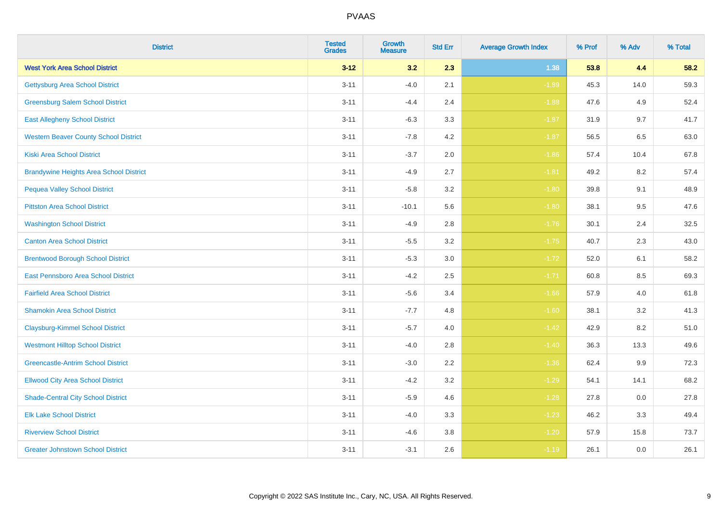| <b>District</b>                                | <b>Tested</b><br><b>Grades</b> | <b>Growth</b><br><b>Measure</b> | <b>Std Err</b> | <b>Average Growth Index</b> | % Prof | % Adv   | % Total |
|------------------------------------------------|--------------------------------|---------------------------------|----------------|-----------------------------|--------|---------|---------|
| <b>West York Area School District</b>          | $3 - 12$                       | 3.2                             | 2.3            | 1.38                        | 53.8   | 4.4     | 58.2    |
| <b>Gettysburg Area School District</b>         | $3 - 11$                       | $-4.0$                          | 2.1            | $-1.89$                     | 45.3   | 14.0    | 59.3    |
| <b>Greensburg Salem School District</b>        | $3 - 11$                       | $-4.4$                          | 2.4            | $-1.88$                     | 47.6   | 4.9     | 52.4    |
| <b>East Allegheny School District</b>          | $3 - 11$                       | $-6.3$                          | 3.3            | $-1.87$                     | 31.9   | 9.7     | 41.7    |
| <b>Western Beaver County School District</b>   | $3 - 11$                       | $-7.8$                          | 4.2            | $-1.87$                     | 56.5   | 6.5     | 63.0    |
| <b>Kiski Area School District</b>              | $3 - 11$                       | $-3.7$                          | 2.0            | $-1.86$                     | 57.4   | 10.4    | 67.8    |
| <b>Brandywine Heights Area School District</b> | $3 - 11$                       | $-4.9$                          | 2.7            | $-1.81$                     | 49.2   | 8.2     | 57.4    |
| <b>Pequea Valley School District</b>           | $3 - 11$                       | $-5.8$                          | 3.2            | $-1.80$                     | 39.8   | 9.1     | 48.9    |
| <b>Pittston Area School District</b>           | $3 - 11$                       | $-10.1$                         | 5.6            | $-1.80$                     | 38.1   | 9.5     | 47.6    |
| <b>Washington School District</b>              | $3 - 11$                       | $-4.9$                          | 2.8            | $-1.76$                     | 30.1   | 2.4     | 32.5    |
| <b>Canton Area School District</b>             | $3 - 11$                       | $-5.5$                          | 3.2            | $-1.75$                     | 40.7   | 2.3     | 43.0    |
| <b>Brentwood Borough School District</b>       | $3 - 11$                       | $-5.3$                          | 3.0            | $-1.72$                     | 52.0   | 6.1     | 58.2    |
| <b>East Pennsboro Area School District</b>     | $3 - 11$                       | $-4.2$                          | 2.5            | $-1.71$                     | 60.8   | 8.5     | 69.3    |
| <b>Fairfield Area School District</b>          | $3 - 11$                       | $-5.6$                          | 3.4            | $-1.66$                     | 57.9   | $4.0\,$ | 61.8    |
| <b>Shamokin Area School District</b>           | $3 - 11$                       | $-7.7$                          | 4.8            | $-1.60$                     | 38.1   | 3.2     | 41.3    |
| <b>Claysburg-Kimmel School District</b>        | $3 - 11$                       | $-5.7$                          | 4.0            | $-1.42$                     | 42.9   | 8.2     | 51.0    |
| <b>Westmont Hilltop School District</b>        | $3 - 11$                       | $-4.0$                          | 2.8            | $-1.40$                     | 36.3   | 13.3    | 49.6    |
| <b>Greencastle-Antrim School District</b>      | $3 - 11$                       | $-3.0$                          | 2.2            | $-1.36$                     | 62.4   | 9.9     | 72.3    |
| <b>Ellwood City Area School District</b>       | $3 - 11$                       | $-4.2$                          | 3.2            | $-1.29$                     | 54.1   | 14.1    | 68.2    |
| <b>Shade-Central City School District</b>      | $3 - 11$                       | $-5.9$                          | 4.6            | $-1.28$                     | 27.8   | 0.0     | 27.8    |
| <b>Elk Lake School District</b>                | $3 - 11$                       | $-4.0$                          | 3.3            | $-1.23$                     | 46.2   | 3.3     | 49.4    |
| <b>Riverview School District</b>               | $3 - 11$                       | $-4.6$                          | 3.8            | $-1.20$                     | 57.9   | 15.8    | 73.7    |
| <b>Greater Johnstown School District</b>       | $3 - 11$                       | $-3.1$                          | 2.6            | $-1.19$                     | 26.1   | 0.0     | 26.1    |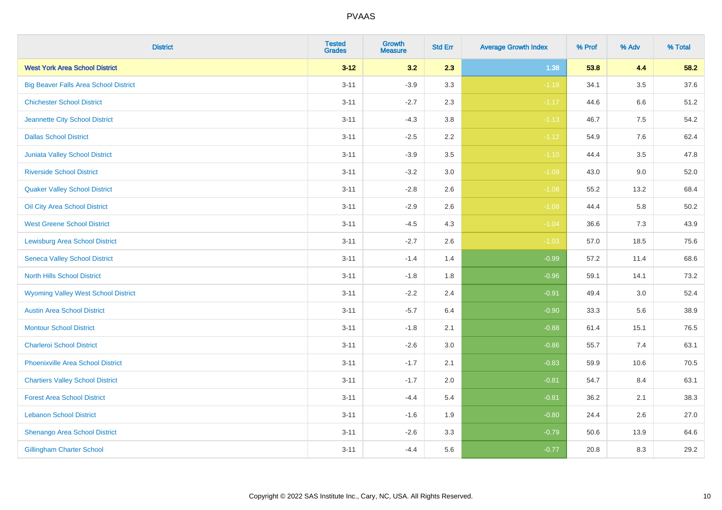| <b>District</b>                              | <b>Tested</b><br>Grades | <b>Growth</b><br><b>Measure</b> | <b>Std Err</b> | <b>Average Growth Index</b> | % Prof | % Adv   | % Total  |
|----------------------------------------------|-------------------------|---------------------------------|----------------|-----------------------------|--------|---------|----------|
| <b>West York Area School District</b>        | $3 - 12$                | 3.2                             | 2.3            | 1.38                        | 53.8   | 4.4     | 58.2     |
| <b>Big Beaver Falls Area School District</b> | $3 - 11$                | $-3.9$                          | 3.3            | $-1.18$                     | 34.1   | $3.5\,$ | 37.6     |
| <b>Chichester School District</b>            | $3 - 11$                | $-2.7$                          | 2.3            | $-1.17$                     | 44.6   | 6.6     | 51.2     |
| Jeannette City School District               | $3 - 11$                | $-4.3$                          | $3.8\,$        | $-1.13$                     | 46.7   | 7.5     | 54.2     |
| <b>Dallas School District</b>                | $3 - 11$                | $-2.5$                          | 2.2            | $-1.12$                     | 54.9   | 7.6     | 62.4     |
| Juniata Valley School District               | $3 - 11$                | $-3.9$                          | 3.5            | $-1.10$                     | 44.4   | 3.5     | 47.8     |
| <b>Riverside School District</b>             | $3 - 11$                | $-3.2$                          | 3.0            | $-1.09$                     | 43.0   | 9.0     | 52.0     |
| <b>Quaker Valley School District</b>         | $3 - 11$                | $-2.8$                          | 2.6            | $-1.08$                     | 55.2   | 13.2    | 68.4     |
| Oil City Area School District                | $3 - 11$                | $-2.9$                          | 2.6            | $-1.08$                     | 44.4   | 5.8     | $50.2\,$ |
| <b>West Greene School District</b>           | $3 - 11$                | $-4.5$                          | 4.3            | $-1.04$                     | 36.6   | 7.3     | 43.9     |
| <b>Lewisburg Area School District</b>        | $3 - 11$                | $-2.7$                          | 2.6            | $-1.03$                     | 57.0   | 18.5    | 75.6     |
| <b>Seneca Valley School District</b>         | $3 - 11$                | $-1.4$                          | 1.4            | $-0.99$                     | 57.2   | 11.4    | 68.6     |
| North Hills School District                  | $3 - 11$                | $-1.8$                          | 1.8            | $-0.96$                     | 59.1   | 14.1    | 73.2     |
| <b>Wyoming Valley West School District</b>   | $3 - 11$                | $-2.2$                          | 2.4            | $-0.91$                     | 49.4   | 3.0     | 52.4     |
| <b>Austin Area School District</b>           | $3 - 11$                | $-5.7$                          | 6.4            | $-0.90$                     | 33.3   | 5.6     | 38.9     |
| <b>Montour School District</b>               | $3 - 11$                | $-1.8$                          | 2.1            | $-0.88$                     | 61.4   | 15.1    | 76.5     |
| <b>Charleroi School District</b>             | $3 - 11$                | $-2.6$                          | 3.0            | $-0.86$                     | 55.7   | 7.4     | 63.1     |
| <b>Phoenixville Area School District</b>     | $3 - 11$                | $-1.7$                          | 2.1            | $-0.83$                     | 59.9   | 10.6    | 70.5     |
| <b>Chartiers Valley School District</b>      | $3 - 11$                | $-1.7$                          | 2.0            | $-0.81$                     | 54.7   | 8.4     | 63.1     |
| <b>Forest Area School District</b>           | $3 - 11$                | $-4.4$                          | 5.4            | $-0.81$                     | 36.2   | 2.1     | 38.3     |
| <b>Lebanon School District</b>               | $3 - 11$                | $-1.6$                          | 1.9            | $-0.80$                     | 24.4   | 2.6     | 27.0     |
| Shenango Area School District                | $3 - 11$                | $-2.6$                          | 3.3            | $-0.79$                     | 50.6   | 13.9    | 64.6     |
| <b>Gillingham Charter School</b>             | $3 - 11$                | $-4.4$                          | 5.6            | $-0.77$                     | 20.8   | 8.3     | 29.2     |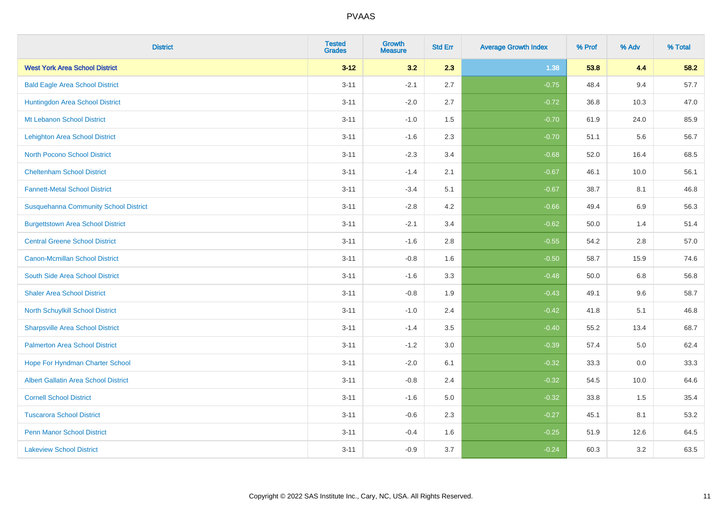| <b>District</b>                              | <b>Tested</b><br><b>Grades</b> | <b>Growth</b><br><b>Measure</b> | <b>Std Err</b> | <b>Average Growth Index</b> | % Prof | % Adv   | % Total |
|----------------------------------------------|--------------------------------|---------------------------------|----------------|-----------------------------|--------|---------|---------|
| <b>West York Area School District</b>        | $3 - 12$                       | 3.2                             | 2.3            | 1.38                        | 53.8   | 4.4     | 58.2    |
| <b>Bald Eagle Area School District</b>       | $3 - 11$                       | $-2.1$                          | 2.7            | $-0.75$                     | 48.4   | 9.4     | 57.7    |
| Huntingdon Area School District              | $3 - 11$                       | $-2.0$                          | 2.7            | $-0.72$                     | 36.8   | 10.3    | 47.0    |
| Mt Lebanon School District                   | $3 - 11$                       | $-1.0$                          | 1.5            | $-0.70$                     | 61.9   | 24.0    | 85.9    |
| <b>Lehighton Area School District</b>        | $3 - 11$                       | $-1.6$                          | 2.3            | $-0.70$                     | 51.1   | 5.6     | 56.7    |
| <b>North Pocono School District</b>          | $3 - 11$                       | $-2.3$                          | 3.4            | $-0.68$                     | 52.0   | 16.4    | 68.5    |
| <b>Cheltenham School District</b>            | $3 - 11$                       | $-1.4$                          | 2.1            | $-0.67$                     | 46.1   | 10.0    | 56.1    |
| <b>Fannett-Metal School District</b>         | $3 - 11$                       | $-3.4$                          | 5.1            | $-0.67$                     | 38.7   | 8.1     | 46.8    |
| <b>Susquehanna Community School District</b> | $3 - 11$                       | $-2.8$                          | 4.2            | $-0.66$                     | 49.4   | 6.9     | 56.3    |
| <b>Burgettstown Area School District</b>     | $3 - 11$                       | $-2.1$                          | 3.4            | $-0.62$                     | 50.0   | 1.4     | 51.4    |
| <b>Central Greene School District</b>        | $3 - 11$                       | $-1.6$                          | 2.8            | $-0.55$                     | 54.2   | 2.8     | 57.0    |
| <b>Canon-Mcmillan School District</b>        | $3 - 11$                       | $-0.8$                          | 1.6            | $-0.50$                     | 58.7   | 15.9    | 74.6    |
| South Side Area School District              | $3 - 11$                       | $-1.6$                          | 3.3            | $-0.48$                     | 50.0   | 6.8     | 56.8    |
| <b>Shaler Area School District</b>           | $3 - 11$                       | $-0.8$                          | 1.9            | $-0.43$                     | 49.1   | 9.6     | 58.7    |
| North Schuylkill School District             | $3 - 11$                       | $-1.0$                          | 2.4            | $-0.42$                     | 41.8   | 5.1     | 46.8    |
| <b>Sharpsville Area School District</b>      | $3 - 11$                       | $-1.4$                          | 3.5            | $-0.40$                     | 55.2   | 13.4    | 68.7    |
| <b>Palmerton Area School District</b>        | $3 - 11$                       | $-1.2$                          | 3.0            | $-0.39$                     | 57.4   | $5.0\,$ | 62.4    |
| Hope For Hyndman Charter School              | $3 - 11$                       | $-2.0$                          | 6.1            | $-0.32$                     | 33.3   | 0.0     | 33.3    |
| <b>Albert Gallatin Area School District</b>  | $3 - 11$                       | $-0.8$                          | 2.4            | $-0.32$                     | 54.5   | 10.0    | 64.6    |
| <b>Cornell School District</b>               | $3 - 11$                       | $-1.6$                          | 5.0            | $-0.32$                     | 33.8   | 1.5     | 35.4    |
| <b>Tuscarora School District</b>             | $3 - 11$                       | $-0.6$                          | 2.3            | $-0.27$                     | 45.1   | 8.1     | 53.2    |
| <b>Penn Manor School District</b>            | $3 - 11$                       | $-0.4$                          | 1.6            | $-0.25$                     | 51.9   | 12.6    | 64.5    |
| <b>Lakeview School District</b>              | $3 - 11$                       | $-0.9$                          | 3.7            | $-0.24$                     | 60.3   | 3.2     | 63.5    |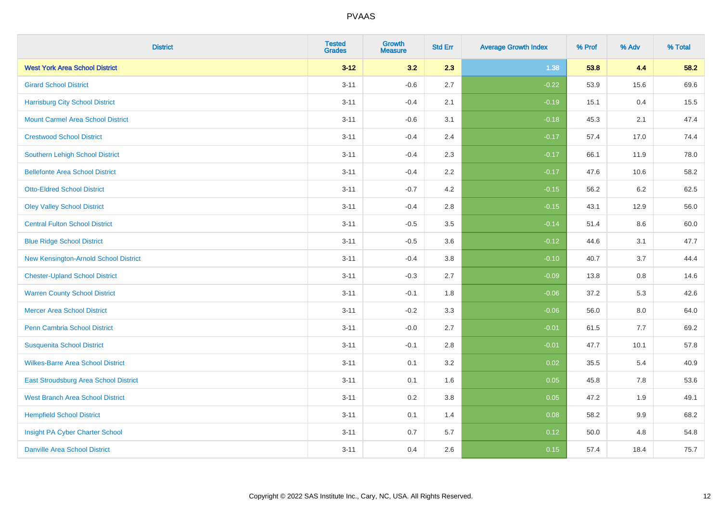| <b>District</b>                          | <b>Tested</b><br><b>Grades</b> | <b>Growth</b><br><b>Measure</b> | <b>Std Err</b> | <b>Average Growth Index</b> | % Prof | % Adv   | % Total |
|------------------------------------------|--------------------------------|---------------------------------|----------------|-----------------------------|--------|---------|---------|
| <b>West York Area School District</b>    | $3 - 12$                       | 3.2                             | 2.3            | 1.38                        | 53.8   | 4.4     | 58.2    |
| <b>Girard School District</b>            | $3 - 11$                       | $-0.6$                          | 2.7            | $-0.22$                     | 53.9   | 15.6    | 69.6    |
| <b>Harrisburg City School District</b>   | $3 - 11$                       | $-0.4$                          | 2.1            | $-0.19$                     | 15.1   | 0.4     | 15.5    |
| <b>Mount Carmel Area School District</b> | $3 - 11$                       | $-0.6$                          | 3.1            | $-0.18$                     | 45.3   | 2.1     | 47.4    |
| <b>Crestwood School District</b>         | $3 - 11$                       | $-0.4$                          | 2.4            | $-0.17$                     | 57.4   | 17.0    | 74.4    |
| <b>Southern Lehigh School District</b>   | $3 - 11$                       | $-0.4$                          | 2.3            | $-0.17$                     | 66.1   | 11.9    | 78.0    |
| <b>Bellefonte Area School District</b>   | $3 - 11$                       | $-0.4$                          | 2.2            | $-0.17$                     | 47.6   | 10.6    | 58.2    |
| <b>Otto-Eldred School District</b>       | $3 - 11$                       | $-0.7$                          | 4.2            | $-0.15$                     | 56.2   | 6.2     | 62.5    |
| <b>Oley Valley School District</b>       | $3 - 11$                       | $-0.4$                          | 2.8            | $-0.15$                     | 43.1   | 12.9    | 56.0    |
| <b>Central Fulton School District</b>    | $3 - 11$                       | $-0.5$                          | 3.5            | $-0.14$                     | 51.4   | 8.6     | 60.0    |
| <b>Blue Ridge School District</b>        | $3 - 11$                       | $-0.5$                          | 3.6            | $-0.12$                     | 44.6   | 3.1     | 47.7    |
| New Kensington-Arnold School District    | $3 - 11$                       | $-0.4$                          | 3.8            | $-0.10$                     | 40.7   | 3.7     | 44.4    |
| <b>Chester-Upland School District</b>    | $3 - 11$                       | $-0.3$                          | 2.7            | $-0.09$                     | 13.8   | $0.8\,$ | 14.6    |
| <b>Warren County School District</b>     | $3 - 11$                       | $-0.1$                          | 1.8            | $-0.06$                     | 37.2   | 5.3     | 42.6    |
| <b>Mercer Area School District</b>       | $3 - 11$                       | $-0.2$                          | 3.3            | $-0.06$                     | 56.0   | 8.0     | 64.0    |
| <b>Penn Cambria School District</b>      | $3 - 11$                       | $-0.0$                          | 2.7            | $-0.01$                     | 61.5   | $7.7$   | 69.2    |
| <b>Susquenita School District</b>        | $3 - 11$                       | $-0.1$                          | 2.8            | $-0.01$                     | 47.7   | 10.1    | 57.8    |
| <b>Wilkes-Barre Area School District</b> | $3 - 11$                       | 0.1                             | 3.2            | 0.02                        | 35.5   | 5.4     | 40.9    |
| East Stroudsburg Area School District    | $3 - 11$                       | 0.1                             | 1.6            | 0.05                        | 45.8   | 7.8     | 53.6    |
| <b>West Branch Area School District</b>  | $3 - 11$                       | 0.2                             | 3.8            | 0.05                        | 47.2   | 1.9     | 49.1    |
| <b>Hempfield School District</b>         | $3 - 11$                       | 0.1                             | 1.4            | 0.08                        | 58.2   | 9.9     | 68.2    |
| Insight PA Cyber Charter School          | $3 - 11$                       | 0.7                             | 5.7            | 0.12                        | 50.0   | 4.8     | 54.8    |
| <b>Danville Area School District</b>     | $3 - 11$                       | 0.4                             | 2.6            | 0.15                        | 57.4   | 18.4    | 75.7    |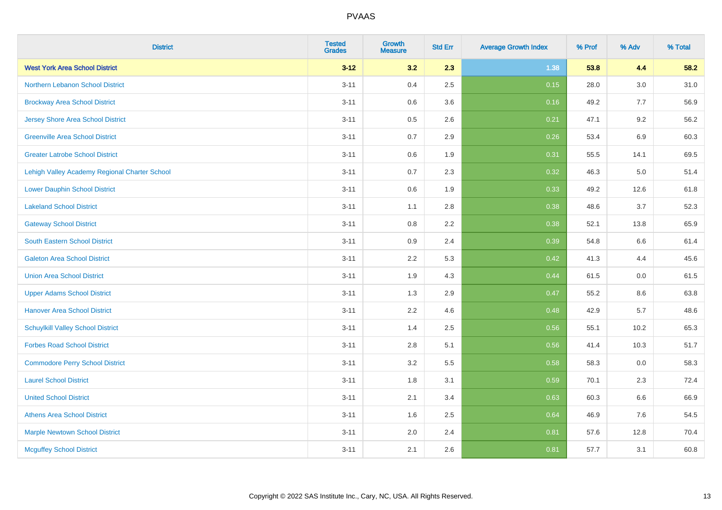| <b>District</b>                               | <b>Tested</b><br><b>Grades</b> | Growth<br><b>Measure</b> | <b>Std Err</b> | <b>Average Growth Index</b> | % Prof | % Adv   | % Total |
|-----------------------------------------------|--------------------------------|--------------------------|----------------|-----------------------------|--------|---------|---------|
| <b>West York Area School District</b>         | $3 - 12$                       | 3.2                      | 2.3            | 1.38                        | 53.8   | 4.4     | 58.2    |
| Northern Lebanon School District              | $3 - 11$                       | 0.4                      | 2.5            | 0.15                        | 28.0   | $3.0\,$ | 31.0    |
| <b>Brockway Area School District</b>          | $3 - 11$                       | 0.6                      | 3.6            | 0.16                        | 49.2   | 7.7     | 56.9    |
| <b>Jersey Shore Area School District</b>      | $3 - 11$                       | 0.5                      | 2.6            | 0.21                        | 47.1   | 9.2     | 56.2    |
| <b>Greenville Area School District</b>        | $3 - 11$                       | 0.7                      | 2.9            | 0.26                        | 53.4   | 6.9     | 60.3    |
| <b>Greater Latrobe School District</b>        | $3 - 11$                       | 0.6                      | 1.9            | 0.31                        | 55.5   | 14.1    | 69.5    |
| Lehigh Valley Academy Regional Charter School | $3 - 11$                       | 0.7                      | 2.3            | 0.32                        | 46.3   | 5.0     | 51.4    |
| <b>Lower Dauphin School District</b>          | $3 - 11$                       | 0.6                      | 1.9            | 0.33                        | 49.2   | 12.6    | 61.8    |
| <b>Lakeland School District</b>               | $3 - 11$                       | 1.1                      | 2.8            | 0.38                        | 48.6   | 3.7     | 52.3    |
| <b>Gateway School District</b>                | $3 - 11$                       | 0.8                      | 2.2            | 0.38                        | 52.1   | 13.8    | 65.9    |
| <b>South Eastern School District</b>          | $3 - 11$                       | 0.9                      | 2.4            | 0.39                        | 54.8   | 6.6     | 61.4    |
| <b>Galeton Area School District</b>           | $3 - 11$                       | 2.2                      | 5.3            | 0.42                        | 41.3   | 4.4     | 45.6    |
| <b>Union Area School District</b>             | $3 - 11$                       | 1.9                      | 4.3            | 0.44                        | 61.5   | 0.0     | 61.5    |
| <b>Upper Adams School District</b>            | $3 - 11$                       | 1.3                      | 2.9            | 0.47                        | 55.2   | 8.6     | 63.8    |
| <b>Hanover Area School District</b>           | $3 - 11$                       | 2.2                      | 4.6            | 0.48                        | 42.9   | 5.7     | 48.6    |
| <b>Schuylkill Valley School District</b>      | $3 - 11$                       | 1.4                      | 2.5            | 0.56                        | 55.1   | 10.2    | 65.3    |
| <b>Forbes Road School District</b>            | $3 - 11$                       | 2.8                      | 5.1            | 0.56                        | 41.4   | 10.3    | 51.7    |
| <b>Commodore Perry School District</b>        | $3 - 11$                       | 3.2                      | 5.5            | 0.58                        | 58.3   | 0.0     | 58.3    |
| <b>Laurel School District</b>                 | $3 - 11$                       | 1.8                      | 3.1            | 0.59                        | 70.1   | 2.3     | 72.4    |
| <b>United School District</b>                 | $3 - 11$                       | 2.1                      | 3.4            | 0.63                        | 60.3   | 6.6     | 66.9    |
| <b>Athens Area School District</b>            | $3 - 11$                       | 1.6                      | 2.5            | 0.64                        | 46.9   | 7.6     | 54.5    |
| <b>Marple Newtown School District</b>         | $3 - 11$                       | 2.0                      | 2.4            | 0.81                        | 57.6   | 12.8    | 70.4    |
| <b>Mcguffey School District</b>               | $3 - 11$                       | 2.1                      | 2.6            | 0.81                        | 57.7   | 3.1     | 60.8    |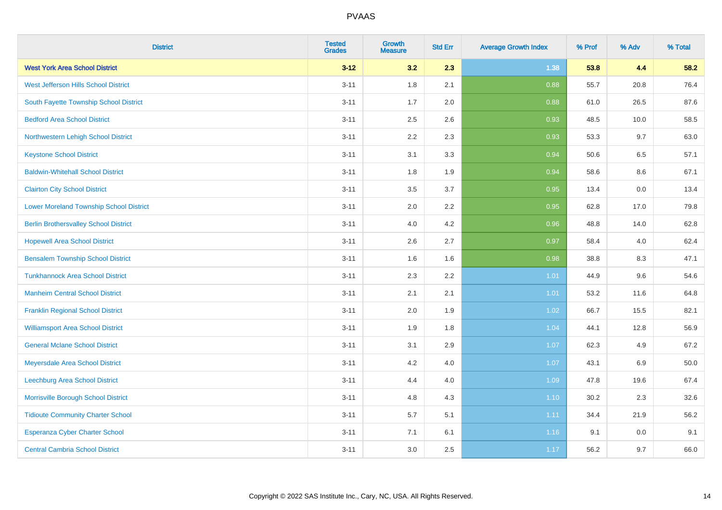| <b>District</b>                                | <b>Tested</b><br><b>Grades</b> | <b>Growth</b><br><b>Measure</b> | <b>Std Err</b> | <b>Average Growth Index</b> | % Prof | % Adv | % Total |
|------------------------------------------------|--------------------------------|---------------------------------|----------------|-----------------------------|--------|-------|---------|
| <b>West York Area School District</b>          | $3 - 12$                       | 3.2                             | 2.3            | 1.38                        | 53.8   | 4.4   | 58.2    |
| West Jefferson Hills School District           | $3 - 11$                       | 1.8                             | 2.1            | 0.88                        | 55.7   | 20.8  | 76.4    |
| South Fayette Township School District         | $3 - 11$                       | 1.7                             | 2.0            | 0.88                        | 61.0   | 26.5  | 87.6    |
| <b>Bedford Area School District</b>            | $3 - 11$                       | 2.5                             | 2.6            | 0.93                        | 48.5   | 10.0  | 58.5    |
| Northwestern Lehigh School District            | $3 - 11$                       | 2.2                             | 2.3            | 0.93                        | 53.3   | 9.7   | 63.0    |
| <b>Keystone School District</b>                | $3 - 11$                       | 3.1                             | 3.3            | 0.94                        | 50.6   | 6.5   | 57.1    |
| <b>Baldwin-Whitehall School District</b>       | $3 - 11$                       | 1.8                             | 1.9            | 0.94                        | 58.6   | 8.6   | 67.1    |
| <b>Clairton City School District</b>           | $3 - 11$                       | 3.5                             | 3.7            | 0.95                        | 13.4   | 0.0   | 13.4    |
| <b>Lower Moreland Township School District</b> | $3 - 11$                       | 2.0                             | 2.2            | 0.95                        | 62.8   | 17.0  | 79.8    |
| <b>Berlin Brothersvalley School District</b>   | $3 - 11$                       | 4.0                             | 4.2            | 0.96                        | 48.8   | 14.0  | 62.8    |
| <b>Hopewell Area School District</b>           | $3 - 11$                       | 2.6                             | 2.7            | 0.97                        | 58.4   | 4.0   | 62.4    |
| <b>Bensalem Township School District</b>       | $3 - 11$                       | 1.6                             | 1.6            | 0.98                        | 38.8   | 8.3   | 47.1    |
| <b>Tunkhannock Area School District</b>        | $3 - 11$                       | 2.3                             | 2.2            | 1.01                        | 44.9   | 9.6   | 54.6    |
| <b>Manheim Central School District</b>         | $3 - 11$                       | 2.1                             | 2.1            | 1.01                        | 53.2   | 11.6  | 64.8    |
| <b>Franklin Regional School District</b>       | $3 - 11$                       | 2.0                             | 1.9            | 1.02                        | 66.7   | 15.5  | 82.1    |
| <b>Williamsport Area School District</b>       | $3 - 11$                       | 1.9                             | 1.8            | 1.04                        | 44.1   | 12.8  | 56.9    |
| <b>General Mclane School District</b>          | $3 - 11$                       | 3.1                             | 2.9            | 1.07                        | 62.3   | 4.9   | 67.2    |
| Meyersdale Area School District                | $3 - 11$                       | 4.2                             | 4.0            | 1.07                        | 43.1   | 6.9   | 50.0    |
| Leechburg Area School District                 | $3 - 11$                       | 4.4                             | 4.0            | 1.09                        | 47.8   | 19.6  | 67.4    |
| Morrisville Borough School District            | $3 - 11$                       | 4.8                             | 4.3            | 1.10                        | 30.2   | 2.3   | 32.6    |
| <b>Tidioute Community Charter School</b>       | $3 - 11$                       | 5.7                             | 5.1            | 1.11                        | 34.4   | 21.9  | 56.2    |
| Esperanza Cyber Charter School                 | $3 - 11$                       | 7.1                             | 6.1            | 1.16                        | 9.1    | 0.0   | 9.1     |
| <b>Central Cambria School District</b>         | $3 - 11$                       | 3.0                             | 2.5            | 1.17                        | 56.2   | 9.7   | 66.0    |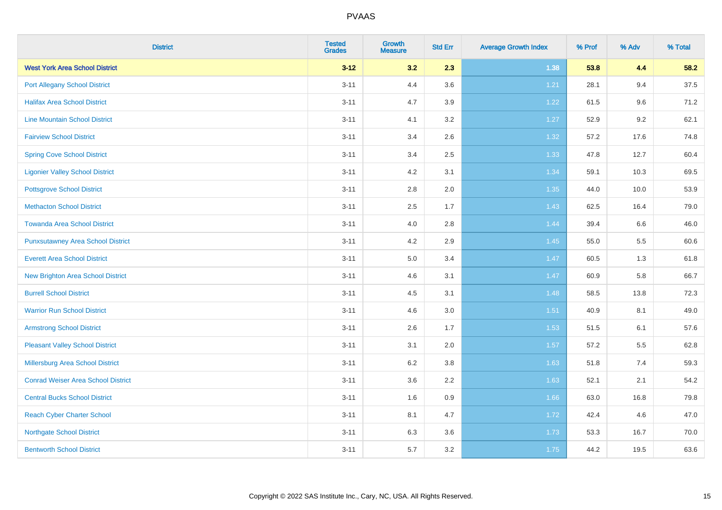| <b>District</b>                           | <b>Tested</b><br><b>Grades</b> | <b>Growth</b><br><b>Measure</b> | <b>Std Err</b> | <b>Average Growth Index</b> | % Prof | % Adv | % Total |
|-------------------------------------------|--------------------------------|---------------------------------|----------------|-----------------------------|--------|-------|---------|
| <b>West York Area School District</b>     | $3 - 12$                       | 3.2                             | 2.3            | 1.38                        | 53.8   | 4.4   | 58.2    |
| <b>Port Allegany School District</b>      | $3 - 11$                       | 4.4                             | 3.6            | 1.21                        | 28.1   | 9.4   | 37.5    |
| <b>Halifax Area School District</b>       | $3 - 11$                       | 4.7                             | 3.9            | 1.22                        | 61.5   | 9.6   | 71.2    |
| <b>Line Mountain School District</b>      | $3 - 11$                       | 4.1                             | 3.2            | 1.27                        | 52.9   | 9.2   | 62.1    |
| <b>Fairview School District</b>           | $3 - 11$                       | 3.4                             | 2.6            | $1.32$                      | 57.2   | 17.6  | 74.8    |
| <b>Spring Cove School District</b>        | $3 - 11$                       | 3.4                             | 2.5            | 1.33                        | 47.8   | 12.7  | 60.4    |
| <b>Ligonier Valley School District</b>    | $3 - 11$                       | 4.2                             | 3.1            | 1.34                        | 59.1   | 10.3  | 69.5    |
| <b>Pottsgrove School District</b>         | $3 - 11$                       | 2.8                             | 2.0            | 1.35                        | 44.0   | 10.0  | 53.9    |
| <b>Methacton School District</b>          | $3 - 11$                       | 2.5                             | 1.7            | 1.43                        | 62.5   | 16.4  | 79.0    |
| <b>Towanda Area School District</b>       | $3 - 11$                       | 4.0                             | 2.8            | 1.44                        | 39.4   | 6.6   | 46.0    |
| <b>Punxsutawney Area School District</b>  | $3 - 11$                       | 4.2                             | 2.9            | 1.45                        | 55.0   | 5.5   | 60.6    |
| <b>Everett Area School District</b>       | $3 - 11$                       | 5.0                             | 3.4            | 1.47                        | 60.5   | 1.3   | 61.8    |
| New Brighton Area School District         | $3 - 11$                       | 4.6                             | 3.1            | 1.47                        | 60.9   | 5.8   | 66.7    |
| <b>Burrell School District</b>            | $3 - 11$                       | 4.5                             | 3.1            | 1.48                        | 58.5   | 13.8  | 72.3    |
| <b>Warrior Run School District</b>        | $3 - 11$                       | 4.6                             | 3.0            | 1.51                        | 40.9   | 8.1   | 49.0    |
| <b>Armstrong School District</b>          | $3 - 11$                       | 2.6                             | 1.7            | 1.53                        | 51.5   | 6.1   | 57.6    |
| <b>Pleasant Valley School District</b>    | $3 - 11$                       | 3.1                             | 2.0            | 1.57                        | 57.2   | 5.5   | 62.8    |
| Millersburg Area School District          | $3 - 11$                       | 6.2                             | 3.8            | 1.63                        | 51.8   | 7.4   | 59.3    |
| <b>Conrad Weiser Area School District</b> | $3 - 11$                       | 3.6                             | 2.2            | 1.63                        | 52.1   | 2.1   | 54.2    |
| <b>Central Bucks School District</b>      | $3 - 11$                       | 1.6                             | 0.9            | 1.66                        | 63.0   | 16.8  | 79.8    |
| <b>Reach Cyber Charter School</b>         | $3 - 11$                       | 8.1                             | 4.7            | 1.72                        | 42.4   | 4.6   | 47.0    |
| <b>Northgate School District</b>          | $3 - 11$                       | 6.3                             | 3.6            | 1.73                        | 53.3   | 16.7  | 70.0    |
| <b>Bentworth School District</b>          | $3 - 11$                       | 5.7                             | 3.2            | 1.75                        | 44.2   | 19.5  | 63.6    |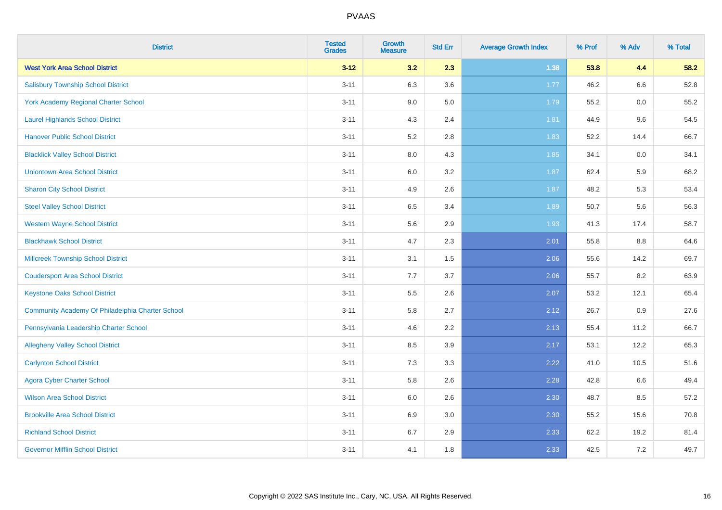| <b>District</b>                                  | <b>Tested</b><br><b>Grades</b> | <b>Growth</b><br><b>Measure</b> | <b>Std Err</b> | <b>Average Growth Index</b> | % Prof | % Adv | % Total |
|--------------------------------------------------|--------------------------------|---------------------------------|----------------|-----------------------------|--------|-------|---------|
| <b>West York Area School District</b>            | $3 - 12$                       | 3.2                             | 2.3            | 1.38                        | 53.8   | 4.4   | 58.2    |
| <b>Salisbury Township School District</b>        | $3 - 11$                       | 6.3                             | 3.6            | 1.77                        | 46.2   | 6.6   | 52.8    |
| York Academy Regional Charter School             | $3 - 11$                       | 9.0                             | 5.0            | 1.79                        | 55.2   | 0.0   | 55.2    |
| <b>Laurel Highlands School District</b>          | $3 - 11$                       | 4.3                             | 2.4            | 1.81                        | 44.9   | 9.6   | 54.5    |
| <b>Hanover Public School District</b>            | $3 - 11$                       | 5.2                             | 2.8            | 1.83                        | 52.2   | 14.4  | 66.7    |
| <b>Blacklick Valley School District</b>          | $3 - 11$                       | $8.0\,$                         | 4.3            | 1.85                        | 34.1   | 0.0   | 34.1    |
| <b>Uniontown Area School District</b>            | $3 - 11$                       | $6.0\,$                         | 3.2            | 1.87                        | 62.4   | 5.9   | 68.2    |
| <b>Sharon City School District</b>               | $3 - 11$                       | 4.9                             | 2.6            | 1.87                        | 48.2   | 5.3   | 53.4    |
| <b>Steel Valley School District</b>              | $3 - 11$                       | 6.5                             | 3.4            | 1.89                        | 50.7   | 5.6   | 56.3    |
| <b>Western Wayne School District</b>             | $3 - 11$                       | $5.6\,$                         | 2.9            | 1.93                        | 41.3   | 17.4  | 58.7    |
| <b>Blackhawk School District</b>                 | $3 - 11$                       | 4.7                             | 2.3            | 2.01                        | 55.8   | 8.8   | 64.6    |
| Millcreek Township School District               | $3 - 11$                       | 3.1                             | 1.5            | 2.06                        | 55.6   | 14.2  | 69.7    |
| <b>Coudersport Area School District</b>          | $3 - 11$                       | 7.7                             | 3.7            | 2.06                        | 55.7   | 8.2   | 63.9    |
| <b>Keystone Oaks School District</b>             | $3 - 11$                       | $5.5\,$                         | 2.6            | 2.07                        | 53.2   | 12.1  | 65.4    |
| Community Academy Of Philadelphia Charter School | $3 - 11$                       | 5.8                             | 2.7            | 2.12                        | 26.7   | 0.9   | 27.6    |
| Pennsylvania Leadership Charter School           | $3 - 11$                       | 4.6                             | 2.2            | 2.13                        | 55.4   | 11.2  | 66.7    |
| <b>Allegheny Valley School District</b>          | $3 - 11$                       | 8.5                             | 3.9            | 2.17                        | 53.1   | 12.2  | 65.3    |
| <b>Carlynton School District</b>                 | $3 - 11$                       | 7.3                             | 3.3            | 2.22                        | 41.0   | 10.5  | 51.6    |
| <b>Agora Cyber Charter School</b>                | $3 - 11$                       | 5.8                             | 2.6            | 2.28                        | 42.8   | 6.6   | 49.4    |
| <b>Wilson Area School District</b>               | $3 - 11$                       | 6.0                             | 2.6            | 2.30                        | 48.7   | 8.5   | 57.2    |
| <b>Brookville Area School District</b>           | $3 - 11$                       | 6.9                             | 3.0            | 2.30                        | 55.2   | 15.6  | 70.8    |
| <b>Richland School District</b>                  | $3 - 11$                       | 6.7                             | 2.9            | 2.33                        | 62.2   | 19.2  | 81.4    |
| <b>Governor Mifflin School District</b>          | $3 - 11$                       | 4.1                             | 1.8            | 2.33                        | 42.5   | 7.2   | 49.7    |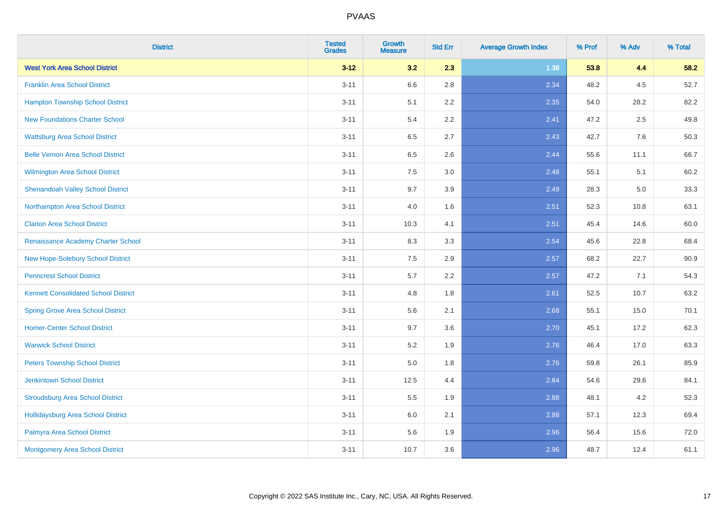| <b>District</b>                             | <b>Tested</b><br><b>Grades</b> | <b>Growth</b><br><b>Measure</b> | <b>Std Err</b> | <b>Average Growth Index</b> | % Prof | % Adv | % Total |
|---------------------------------------------|--------------------------------|---------------------------------|----------------|-----------------------------|--------|-------|---------|
| <b>West York Area School District</b>       | $3 - 12$                       | 3.2                             | 2.3            | 1.38                        | 53.8   | 4.4   | 58.2    |
| <b>Franklin Area School District</b>        | $3 - 11$                       | 6.6                             | 2.8            | 2.34                        | 48.2   | 4.5   | 52.7    |
| <b>Hampton Township School District</b>     | $3 - 11$                       | 5.1                             | 2.2            | 2.35                        | 54.0   | 28.2  | 82.2    |
| <b>New Foundations Charter School</b>       | $3 - 11$                       | 5.4                             | 2.2            | 2.41                        | 47.2   | 2.5   | 49.8    |
| <b>Wattsburg Area School District</b>       | $3 - 11$                       | 6.5                             | 2.7            | 2.43                        | 42.7   | 7.6   | 50.3    |
| <b>Belle Vernon Area School District</b>    | $3 - 11$                       | 6.5                             | 2.6            | 2.44                        | 55.6   | 11.1  | 66.7    |
| Wilmington Area School District             | $3 - 11$                       | 7.5                             | 3.0            | 2.48                        | 55.1   | 5.1   | 60.2    |
| <b>Shenandoah Valley School District</b>    | $3 - 11$                       | 9.7                             | 3.9            | 2.49                        | 28.3   | 5.0   | 33.3    |
| Northampton Area School District            | $3 - 11$                       | 4.0                             | 1.6            | 2.51                        | 52.3   | 10.8  | 63.1    |
| <b>Clarion Area School District</b>         | $3 - 11$                       | 10.3                            | 4.1            | 2.51                        | 45.4   | 14.6  | 60.0    |
| Renaissance Academy Charter School          | $3 - 11$                       | 8.3                             | 3.3            | 2.54                        | 45.6   | 22.8  | 68.4    |
| <b>New Hope-Solebury School District</b>    | $3 - 11$                       | 7.5                             | 2.9            | 2.57                        | 68.2   | 22.7  | 90.9    |
| <b>Penncrest School District</b>            | $3 - 11$                       | 5.7                             | 2.2            | 2.57                        | 47.2   | 7.1   | 54.3    |
| <b>Kennett Consolidated School District</b> | $3 - 11$                       | 4.8                             | 1.8            | 2.61                        | 52.5   | 10.7  | 63.2    |
| <b>Spring Grove Area School District</b>    | $3 - 11$                       | 5.6                             | 2.1            | 2.68                        | 55.1   | 15.0  | 70.1    |
| <b>Homer-Center School District</b>         | $3 - 11$                       | 9.7                             | 3.6            | 2.70                        | 45.1   | 17.2  | 62.3    |
| <b>Warwick School District</b>              | $3 - 11$                       | 5.2                             | 1.9            | 2.76                        | 46.4   | 17.0  | 63.3    |
| <b>Peters Township School District</b>      | $3 - 11$                       | 5.0                             | 1.8            | 2.76                        | 59.8   | 26.1  | 85.9    |
| <b>Jenkintown School District</b>           | $3 - 11$                       | 12.5                            | 4.4            | 2.84                        | 54.6   | 29.6  | 84.1    |
| <b>Stroudsburg Area School District</b>     | $3 - 11$                       | 5.5                             | 1.9            | 2.88                        | 48.1   | 4.2   | 52.3    |
| Hollidaysburg Area School District          | $3 - 11$                       | 6.0                             | 2.1            | 2.88                        | 57.1   | 12.3  | 69.4    |
| Palmyra Area School District                | $3 - 11$                       | 5.6                             | 1.9            | 2.96                        | 56.4   | 15.6  | 72.0    |
| Montgomery Area School District             | $3 - 11$                       | 10.7                            | 3.6            | 2.96                        | 48.7   | 12.4  | 61.1    |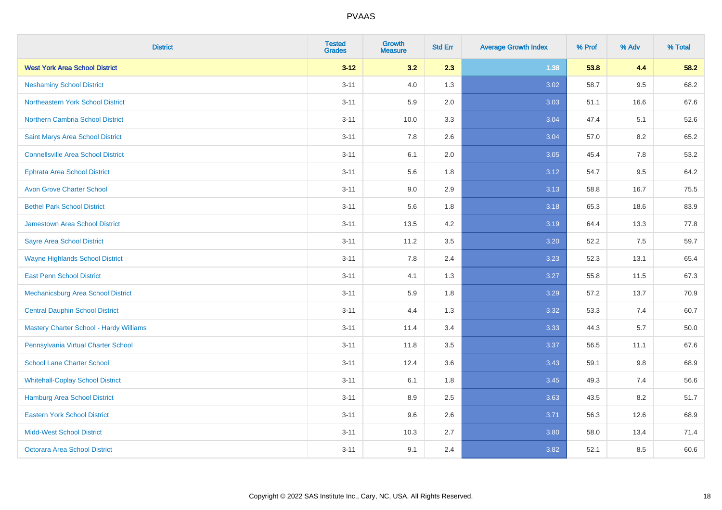| <b>District</b>                           | <b>Tested</b><br><b>Grades</b> | <b>Growth</b><br><b>Measure</b> | <b>Std Err</b> | <b>Average Growth Index</b> | % Prof | % Adv   | % Total |
|-------------------------------------------|--------------------------------|---------------------------------|----------------|-----------------------------|--------|---------|---------|
| <b>West York Area School District</b>     | $3 - 12$                       | 3.2                             | 2.3            | 1.38                        | 53.8   | 4.4     | 58.2    |
| <b>Neshaminy School District</b>          | $3 - 11$                       | 4.0                             | 1.3            | 3.02                        | 58.7   | $9.5\,$ | 68.2    |
| Northeastern York School District         | $3 - 11$                       | 5.9                             | 2.0            | 3.03                        | 51.1   | 16.6    | 67.6    |
| <b>Northern Cambria School District</b>   | $3 - 11$                       | 10.0                            | 3.3            | 3.04                        | 47.4   | 5.1     | 52.6    |
| Saint Marys Area School District          | $3 - 11$                       | 7.8                             | 2.6            | 3.04                        | 57.0   | 8.2     | 65.2    |
| <b>Connellsville Area School District</b> | $3 - 11$                       | 6.1                             | 2.0            | 3.05                        | 45.4   | 7.8     | 53.2    |
| <b>Ephrata Area School District</b>       | $3 - 11$                       | 5.6                             | 1.8            | 3.12                        | 54.7   | 9.5     | 64.2    |
| <b>Avon Grove Charter School</b>          | $3 - 11$                       | 9.0                             | 2.9            | 3.13                        | 58.8   | 16.7    | 75.5    |
| <b>Bethel Park School District</b>        | $3 - 11$                       | 5.6                             | 1.8            | 3.18                        | 65.3   | 18.6    | 83.9    |
| <b>Jamestown Area School District</b>     | $3 - 11$                       | 13.5                            | 4.2            | 3.19                        | 64.4   | 13.3    | 77.8    |
| <b>Sayre Area School District</b>         | $3 - 11$                       | 11.2                            | 3.5            | 3.20                        | 52.2   | 7.5     | 59.7    |
| <b>Wayne Highlands School District</b>    | $3 - 11$                       | 7.8                             | 2.4            | 3.23                        | 52.3   | 13.1    | 65.4    |
| <b>East Penn School District</b>          | $3 - 11$                       | 4.1                             | 1.3            | 3.27                        | 55.8   | 11.5    | 67.3    |
| Mechanicsburg Area School District        | $3 - 11$                       | 5.9                             | 1.8            | 3.29                        | 57.2   | 13.7    | 70.9    |
| <b>Central Dauphin School District</b>    | $3 - 11$                       | 4.4                             | 1.3            | 3.32                        | 53.3   | 7.4     | 60.7    |
| Mastery Charter School - Hardy Williams   | $3 - 11$                       | 11.4                            | 3.4            | 3.33                        | 44.3   | 5.7     | 50.0    |
| Pennsylvania Virtual Charter School       | $3 - 11$                       | 11.8                            | 3.5            | 3.37                        | 56.5   | 11.1    | 67.6    |
| <b>School Lane Charter School</b>         | $3 - 11$                       | 12.4                            | 3.6            | 3.43                        | 59.1   | 9.8     | 68.9    |
| <b>Whitehall-Coplay School District</b>   | $3 - 11$                       | 6.1                             | 1.8            | 3.45                        | 49.3   | 7.4     | 56.6    |
| <b>Hamburg Area School District</b>       | $3 - 11$                       | 8.9                             | 2.5            | 3.63                        | 43.5   | 8.2     | 51.7    |
| <b>Eastern York School District</b>       | $3 - 11$                       | 9.6                             | 2.6            | 3.71                        | 56.3   | 12.6    | 68.9    |
| <b>Midd-West School District</b>          | $3 - 11$                       | 10.3                            | 2.7            | 3.80                        | 58.0   | 13.4    | 71.4    |
| <b>Octorara Area School District</b>      | $3 - 11$                       | 9.1                             | 2.4            | 3.82                        | 52.1   | 8.5     | 60.6    |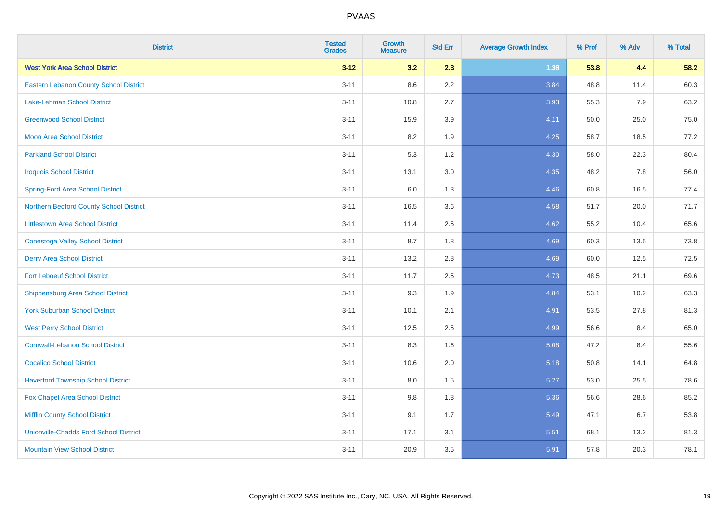| <b>District</b>                               | <b>Tested</b><br><b>Grades</b> | <b>Growth</b><br><b>Measure</b> | <b>Std Err</b> | <b>Average Growth Index</b> | % Prof | % Adv | % Total |
|-----------------------------------------------|--------------------------------|---------------------------------|----------------|-----------------------------|--------|-------|---------|
| <b>West York Area School District</b>         | $3 - 12$                       | 3.2                             | 2.3            | 1.38                        | 53.8   | 4.4   | 58.2    |
| <b>Eastern Lebanon County School District</b> | $3 - 11$                       | 8.6                             | $2.2\,$        | 3.84                        | 48.8   | 11.4  | 60.3    |
| Lake-Lehman School District                   | $3 - 11$                       | 10.8                            | 2.7            | 3.93                        | 55.3   | 7.9   | 63.2    |
| <b>Greenwood School District</b>              | $3 - 11$                       | 15.9                            | 3.9            | 4.11                        | 50.0   | 25.0  | 75.0    |
| <b>Moon Area School District</b>              | $3 - 11$                       | 8.2                             | 1.9            | 4.25                        | 58.7   | 18.5  | 77.2    |
| <b>Parkland School District</b>               | $3 - 11$                       | 5.3                             | 1.2            | 4.30                        | 58.0   | 22.3  | 80.4    |
| <b>Iroquois School District</b>               | $3 - 11$                       | 13.1                            | 3.0            | 4.35                        | 48.2   | 7.8   | 56.0    |
| <b>Spring-Ford Area School District</b>       | $3 - 11$                       | 6.0                             | 1.3            | 4.46                        | 60.8   | 16.5  | 77.4    |
| Northern Bedford County School District       | $3 - 11$                       | 16.5                            | 3.6            | 4.58                        | 51.7   | 20.0  | 71.7    |
| <b>Littlestown Area School District</b>       | $3 - 11$                       | 11.4                            | 2.5            | 4.62                        | 55.2   | 10.4  | 65.6    |
| <b>Conestoga Valley School District</b>       | $3 - 11$                       | 8.7                             | 1.8            | 4.69                        | 60.3   | 13.5  | 73.8    |
| <b>Derry Area School District</b>             | $3 - 11$                       | 13.2                            | 2.8            | 4.69                        | 60.0   | 12.5  | 72.5    |
| <b>Fort Leboeuf School District</b>           | $3 - 11$                       | 11.7                            | 2.5            | 4.73                        | 48.5   | 21.1  | 69.6    |
| <b>Shippensburg Area School District</b>      | $3 - 11$                       | 9.3                             | 1.9            | 4.84                        | 53.1   | 10.2  | 63.3    |
| <b>York Suburban School District</b>          | $3 - 11$                       | 10.1                            | 2.1            | 4.91                        | 53.5   | 27.8  | 81.3    |
| <b>West Perry School District</b>             | $3 - 11$                       | 12.5                            | 2.5            | 4.99                        | 56.6   | 8.4   | 65.0    |
| <b>Cornwall-Lebanon School District</b>       | $3 - 11$                       | 8.3                             | 1.6            | 5.08                        | 47.2   | 8.4   | 55.6    |
| <b>Cocalico School District</b>               | $3 - 11$                       | 10.6                            | 2.0            | 5.18                        | 50.8   | 14.1  | 64.8    |
| <b>Haverford Township School District</b>     | $3 - 11$                       | 8.0                             | 1.5            | 5.27                        | 53.0   | 25.5  | 78.6    |
| Fox Chapel Area School District               | $3 - 11$                       | 9.8                             | 1.8            | 5.36                        | 56.6   | 28.6  | 85.2    |
| <b>Mifflin County School District</b>         | $3 - 11$                       | 9.1                             | 1.7            | 5.49                        | 47.1   | 6.7   | 53.8    |
| <b>Unionville-Chadds Ford School District</b> | $3 - 11$                       | 17.1                            | 3.1            | 5.51                        | 68.1   | 13.2  | 81.3    |
| <b>Mountain View School District</b>          | $3 - 11$                       | 20.9                            | 3.5            | 5.91                        | 57.8   | 20.3  | 78.1    |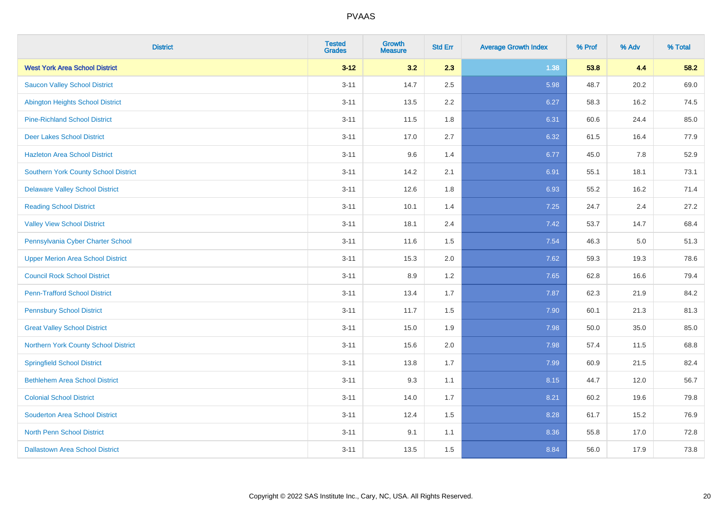| <b>District</b>                          | <b>Tested</b><br><b>Grades</b> | <b>Growth</b><br><b>Measure</b> | <b>Std Err</b> | <b>Average Growth Index</b> | % Prof | % Adv | % Total |
|------------------------------------------|--------------------------------|---------------------------------|----------------|-----------------------------|--------|-------|---------|
| <b>West York Area School District</b>    | $3 - 12$                       | 3.2                             | 2.3            | 1.38                        | 53.8   | 4.4   | 58.2    |
| <b>Saucon Valley School District</b>     | $3 - 11$                       | 14.7                            | 2.5            | 5.98                        | 48.7   | 20.2  | 69.0    |
| <b>Abington Heights School District</b>  | $3 - 11$                       | 13.5                            | 2.2            | 6.27                        | 58.3   | 16.2  | 74.5    |
| <b>Pine-Richland School District</b>     | $3 - 11$                       | 11.5                            | 1.8            | 6.31                        | 60.6   | 24.4  | 85.0    |
| <b>Deer Lakes School District</b>        | $3 - 11$                       | 17.0                            | 2.7            | 6.32                        | 61.5   | 16.4  | 77.9    |
| <b>Hazleton Area School District</b>     | $3 - 11$                       | 9.6                             | 1.4            | 6.77                        | 45.0   | 7.8   | 52.9    |
| Southern York County School District     | $3 - 11$                       | 14.2                            | 2.1            | 6.91                        | 55.1   | 18.1  | 73.1    |
| <b>Delaware Valley School District</b>   | $3 - 11$                       | 12.6                            | 1.8            | 6.93                        | 55.2   | 16.2  | 71.4    |
| <b>Reading School District</b>           | $3 - 11$                       | 10.1                            | 1.4            | 7.25                        | 24.7   | 2.4   | 27.2    |
| <b>Valley View School District</b>       | $3 - 11$                       | 18.1                            | 2.4            | 7.42                        | 53.7   | 14.7  | 68.4    |
| Pennsylvania Cyber Charter School        | $3 - 11$                       | 11.6                            | 1.5            | 7.54                        | 46.3   | 5.0   | 51.3    |
| <b>Upper Merion Area School District</b> | $3 - 11$                       | 15.3                            | 2.0            | 7.62                        | 59.3   | 19.3  | 78.6    |
| <b>Council Rock School District</b>      | $3 - 11$                       | 8.9                             | 1.2            | 7.65                        | 62.8   | 16.6  | 79.4    |
| <b>Penn-Trafford School District</b>     | $3 - 11$                       | 13.4                            | 1.7            | 7.87                        | 62.3   | 21.9  | 84.2    |
| <b>Pennsbury School District</b>         | $3 - 11$                       | 11.7                            | 1.5            | 7.90                        | 60.1   | 21.3  | 81.3    |
| <b>Great Valley School District</b>      | $3 - 11$                       | 15.0                            | 1.9            | 7.98                        | 50.0   | 35.0  | 85.0    |
| Northern York County School District     | $3 - 11$                       | 15.6                            | 2.0            | 7.98                        | 57.4   | 11.5  | 68.8    |
| <b>Springfield School District</b>       | $3 - 11$                       | 13.8                            | 1.7            | 7.99                        | 60.9   | 21.5  | 82.4    |
| <b>Bethlehem Area School District</b>    | $3 - 11$                       | 9.3                             | 1.1            | 8.15                        | 44.7   | 12.0  | 56.7    |
| <b>Colonial School District</b>          | $3 - 11$                       | 14.0                            | 1.7            | 8.21                        | 60.2   | 19.6  | 79.8    |
| <b>Souderton Area School District</b>    | $3 - 11$                       | 12.4                            | 1.5            | 8.28                        | 61.7   | 15.2  | 76.9    |
| <b>North Penn School District</b>        | $3 - 11$                       | 9.1                             | 1.1            | 8.36                        | 55.8   | 17.0  | 72.8    |
| <b>Dallastown Area School District</b>   | $3 - 11$                       | 13.5                            | 1.5            | 8.84                        | 56.0   | 17.9  | 73.8    |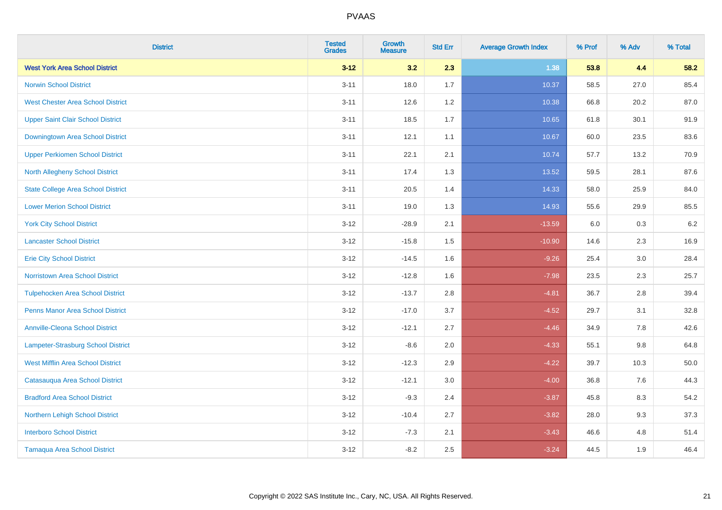| <b>District</b>                           | <b>Tested</b><br><b>Grades</b> | <b>Growth</b><br><b>Measure</b> | <b>Std Err</b> | <b>Average Growth Index</b> | % Prof | % Adv   | % Total |
|-------------------------------------------|--------------------------------|---------------------------------|----------------|-----------------------------|--------|---------|---------|
| <b>West York Area School District</b>     | $3 - 12$                       | 3.2                             | 2.3            | 1.38                        | 53.8   | 4.4     | 58.2    |
| <b>Norwin School District</b>             | $3 - 11$                       | 18.0                            | 1.7            | 10.37                       | 58.5   | 27.0    | 85.4    |
| <b>West Chester Area School District</b>  | $3 - 11$                       | 12.6                            | $1.2$          | 10.38                       | 66.8   | 20.2    | 87.0    |
| <b>Upper Saint Clair School District</b>  | $3 - 11$                       | 18.5                            | 1.7            | 10.65                       | 61.8   | 30.1    | 91.9    |
| Downingtown Area School District          | $3 - 11$                       | 12.1                            | 1.1            | 10.67                       | 60.0   | 23.5    | 83.6    |
| <b>Upper Perkiomen School District</b>    | $3 - 11$                       | 22.1                            | 2.1            | 10.74                       | 57.7   | 13.2    | 70.9    |
| North Allegheny School District           | $3 - 11$                       | 17.4                            | 1.3            | 13.52                       | 59.5   | 28.1    | 87.6    |
| <b>State College Area School District</b> | $3 - 11$                       | 20.5                            | 1.4            | 14.33                       | 58.0   | 25.9    | 84.0    |
| <b>Lower Merion School District</b>       | $3 - 11$                       | 19.0                            | 1.3            | 14.93                       | 55.6   | 29.9    | 85.5    |
| <b>York City School District</b>          | $3 - 12$                       | $-28.9$                         | 2.1            | $-13.59$                    | 6.0    | 0.3     | 6.2     |
| <b>Lancaster School District</b>          | $3 - 12$                       | $-15.8$                         | 1.5            | $-10.90$                    | 14.6   | 2.3     | 16.9    |
| <b>Erie City School District</b>          | $3 - 12$                       | $-14.5$                         | 1.6            | $-9.26$                     | 25.4   | 3.0     | 28.4    |
| Norristown Area School District           | $3-12$                         | $-12.8$                         | 1.6            | $-7.98$                     | 23.5   | $2.3\,$ | 25.7    |
| <b>Tulpehocken Area School District</b>   | $3 - 12$                       | $-13.7$                         | 2.8            | $-4.81$                     | 36.7   | 2.8     | 39.4    |
| <b>Penns Manor Area School District</b>   | $3 - 12$                       | $-17.0$                         | 3.7            | $-4.52$                     | 29.7   | 3.1     | 32.8    |
| <b>Annville-Cleona School District</b>    | $3 - 12$                       | $-12.1$                         | 2.7            | $-4.46$                     | 34.9   | 7.8     | 42.6    |
| Lampeter-Strasburg School District        | $3 - 12$                       | $-8.6$                          | 2.0            | $-4.33$                     | 55.1   | 9.8     | 64.8    |
| <b>West Mifflin Area School District</b>  | $3 - 12$                       | $-12.3$                         | 2.9            | $-4.22$                     | 39.7   | 10.3    | 50.0    |
| Catasauqua Area School District           | $3 - 12$                       | $-12.1$                         | 3.0            | $-4.00$                     | 36.8   | 7.6     | 44.3    |
| <b>Bradford Area School District</b>      | $3 - 12$                       | $-9.3$                          | 2.4            | $-3.87$                     | 45.8   | 8.3     | 54.2    |
| Northern Lehigh School District           | $3 - 12$                       | $-10.4$                         | 2.7            | $-3.82$                     | 28.0   | 9.3     | 37.3    |
| <b>Interboro School District</b>          | $3 - 12$                       | $-7.3$                          | 2.1            | $-3.43$                     | 46.6   | 4.8     | 51.4    |
| <b>Tamaqua Area School District</b>       | $3-12$                         | $-8.2$                          | 2.5            | $-3.24$                     | 44.5   | 1.9     | 46.4    |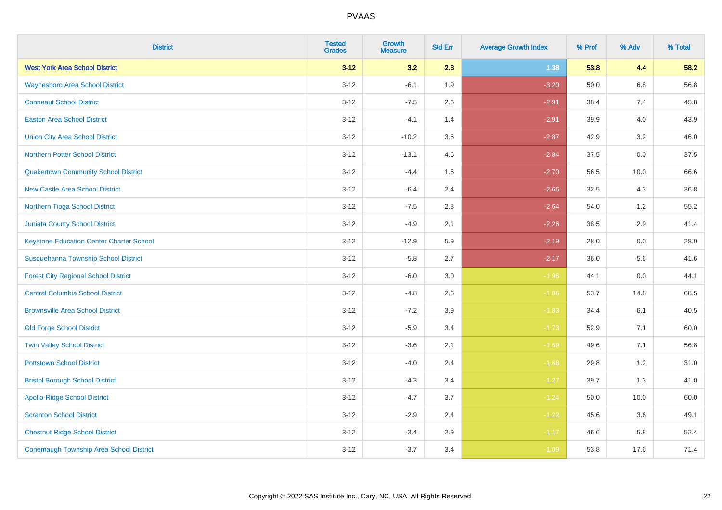| <b>District</b>                                 | <b>Tested</b><br><b>Grades</b> | <b>Growth</b><br><b>Measure</b> | <b>Std Err</b> | <b>Average Growth Index</b> | % Prof | % Adv | % Total |
|-------------------------------------------------|--------------------------------|---------------------------------|----------------|-----------------------------|--------|-------|---------|
| <b>West York Area School District</b>           | $3 - 12$                       | 3.2                             | 2.3            | 1.38                        | 53.8   | 4.4   | 58.2    |
| <b>Waynesboro Area School District</b>          | $3 - 12$                       | $-6.1$                          | 1.9            | $-3.20$                     | 50.0   | 6.8   | 56.8    |
| <b>Conneaut School District</b>                 | $3 - 12$                       | $-7.5$                          | 2.6            | $-2.91$                     | 38.4   | 7.4   | 45.8    |
| <b>Easton Area School District</b>              | $3 - 12$                       | $-4.1$                          | 1.4            | $-2.91$                     | 39.9   | 4.0   | 43.9    |
| <b>Union City Area School District</b>          | $3 - 12$                       | $-10.2$                         | 3.6            | $-2.87$                     | 42.9   | 3.2   | 46.0    |
| Northern Potter School District                 | $3 - 12$                       | $-13.1$                         | 4.6            | $-2.84$                     | 37.5   | 0.0   | 37.5    |
| <b>Quakertown Community School District</b>     | $3 - 12$                       | $-4.4$                          | 1.6            | $-2.70$                     | 56.5   | 10.0  | 66.6    |
| <b>New Castle Area School District</b>          | $3 - 12$                       | $-6.4$                          | 2.4            | $-2.66$                     | 32.5   | 4.3   | 36.8    |
| Northern Tioga School District                  | $3 - 12$                       | $-7.5$                          | 2.8            | $-2.64$                     | 54.0   | 1.2   | 55.2    |
| <b>Juniata County School District</b>           | $3 - 12$                       | $-4.9$                          | 2.1            | $-2.26$                     | 38.5   | 2.9   | 41.4    |
| <b>Keystone Education Center Charter School</b> | $3 - 12$                       | $-12.9$                         | 5.9            | $-2.19$                     | 28.0   | 0.0   | 28.0    |
| Susquehanna Township School District            | $3 - 12$                       | $-5.8$                          | 2.7            | $-2.17$                     | 36.0   | 5.6   | 41.6    |
| <b>Forest City Regional School District</b>     | $3 - 12$                       | $-6.0$                          | 3.0            | $-1.96$                     | 44.1   | 0.0   | 44.1    |
| <b>Central Columbia School District</b>         | $3 - 12$                       | $-4.8$                          | 2.6            | $-1.86$                     | 53.7   | 14.8  | 68.5    |
| <b>Brownsville Area School District</b>         | $3 - 12$                       | $-7.2$                          | 3.9            | $-1.83$                     | 34.4   | 6.1   | 40.5    |
| <b>Old Forge School District</b>                | $3 - 12$                       | $-5.9$                          | 3.4            | $-1.73$                     | 52.9   | 7.1   | 60.0    |
| <b>Twin Valley School District</b>              | $3 - 12$                       | $-3.6$                          | 2.1            | $-1.69$                     | 49.6   | 7.1   | 56.8    |
| <b>Pottstown School District</b>                | $3 - 12$                       | $-4.0$                          | 2.4            | $-1.68$                     | 29.8   | $1.2$ | 31.0    |
| <b>Bristol Borough School District</b>          | $3 - 12$                       | $-4.3$                          | 3.4            | $-1.27$                     | 39.7   | 1.3   | 41.0    |
| <b>Apollo-Ridge School District</b>             | $3 - 12$                       | $-4.7$                          | 3.7            | $-1.24$                     | 50.0   | 10.0  | 60.0    |
| <b>Scranton School District</b>                 | $3 - 12$                       | $-2.9$                          | 2.4            | $-1.22$                     | 45.6   | 3.6   | 49.1    |
| <b>Chestnut Ridge School District</b>           | $3 - 12$                       | $-3.4$                          | 2.9            | $-1.17$                     | 46.6   | 5.8   | 52.4    |
| <b>Conemaugh Township Area School District</b>  | $3 - 12$                       | $-3.7$                          | 3.4            | $-1.09$                     | 53.8   | 17.6  | 71.4    |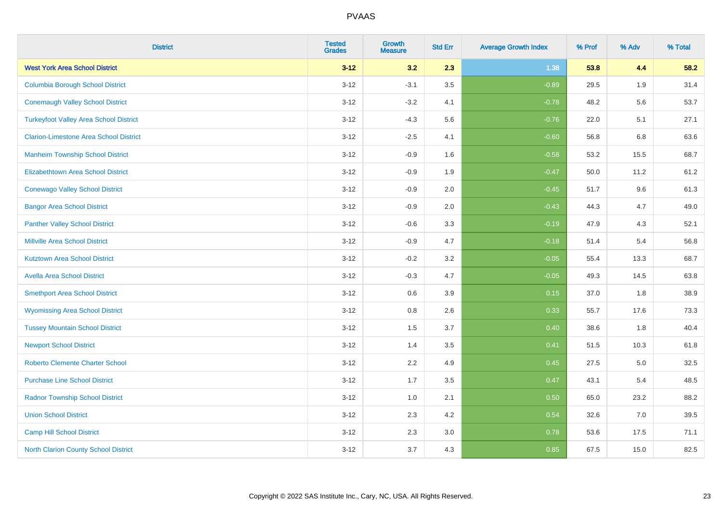| <b>District</b>                               | <b>Tested</b><br><b>Grades</b> | <b>Growth</b><br><b>Measure</b> | <b>Std Err</b> | <b>Average Growth Index</b> | % Prof | % Adv | % Total |
|-----------------------------------------------|--------------------------------|---------------------------------|----------------|-----------------------------|--------|-------|---------|
| <b>West York Area School District</b>         | $3 - 12$                       | 3.2                             | 2.3            | 1.38                        | 53.8   | 4.4   | 58.2    |
| <b>Columbia Borough School District</b>       | $3 - 12$                       | $-3.1$                          | 3.5            | $-0.89$                     | 29.5   | 1.9   | 31.4    |
| <b>Conemaugh Valley School District</b>       | $3 - 12$                       | $-3.2$                          | 4.1            | $-0.78$                     | 48.2   | 5.6   | 53.7    |
| <b>Turkeyfoot Valley Area School District</b> | $3 - 12$                       | $-4.3$                          | 5.6            | $-0.76$                     | 22.0   | 5.1   | 27.1    |
| <b>Clarion-Limestone Area School District</b> | $3-12$                         | $-2.5$                          | 4.1            | $-0.60$                     | 56.8   | 6.8   | 63.6    |
| <b>Manheim Township School District</b>       | $3 - 12$                       | $-0.9$                          | 1.6            | $-0.58$                     | 53.2   | 15.5  | 68.7    |
| <b>Elizabethtown Area School District</b>     | $3 - 12$                       | $-0.9$                          | 1.9            | $-0.47$                     | 50.0   | 11.2  | 61.2    |
| <b>Conewago Valley School District</b>        | $3-12$                         | $-0.9$                          | 2.0            | $-0.45$                     | 51.7   | 9.6   | 61.3    |
| <b>Bangor Area School District</b>            | $3-12$                         | $-0.9$                          | 2.0            | $-0.43$                     | 44.3   | 4.7   | 49.0    |
| <b>Panther Valley School District</b>         | $3-12$                         | $-0.6$                          | 3.3            | $-0.19$                     | 47.9   | 4.3   | 52.1    |
| <b>Millville Area School District</b>         | $3 - 12$                       | $-0.9$                          | 4.7            | $-0.18$                     | 51.4   | 5.4   | 56.8    |
| <b>Kutztown Area School District</b>          | $3 - 12$                       | $-0.2$                          | 3.2            | $-0.05$                     | 55.4   | 13.3  | 68.7    |
| <b>Avella Area School District</b>            | $3 - 12$                       | $-0.3$                          | 4.7            | $-0.05$                     | 49.3   | 14.5  | 63.8    |
| <b>Smethport Area School District</b>         | $3 - 12$                       | 0.6                             | 3.9            | 0.15                        | 37.0   | 1.8   | 38.9    |
| <b>Wyomissing Area School District</b>        | $3 - 12$                       | 0.8                             | 2.6            | 0.33                        | 55.7   | 17.6  | 73.3    |
| <b>Tussey Mountain School District</b>        | $3 - 12$                       | 1.5                             | 3.7            | 0.40                        | 38.6   | 1.8   | 40.4    |
| <b>Newport School District</b>                | $3 - 12$                       | 1.4                             | 3.5            | 0.41                        | 51.5   | 10.3  | 61.8    |
| <b>Roberto Clemente Charter School</b>        | $3 - 12$                       | 2.2                             | 4.9            | 0.45                        | 27.5   | 5.0   | 32.5    |
| <b>Purchase Line School District</b>          | $3 - 12$                       | 1.7                             | 3.5            | 0.47                        | 43.1   | 5.4   | 48.5    |
| <b>Radnor Township School District</b>        | $3 - 12$                       | 1.0                             | 2.1            | 0.50                        | 65.0   | 23.2  | 88.2    |
| <b>Union School District</b>                  | $3 - 12$                       | 2.3                             | 4.2            | 0.54                        | 32.6   | 7.0   | 39.5    |
| <b>Camp Hill School District</b>              | $3 - 12$                       | 2.3                             | 3.0            | 0.78                        | 53.6   | 17.5  | 71.1    |
| <b>North Clarion County School District</b>   | $3 - 12$                       | 3.7                             | 4.3            | 0.85                        | 67.5   | 15.0  | 82.5    |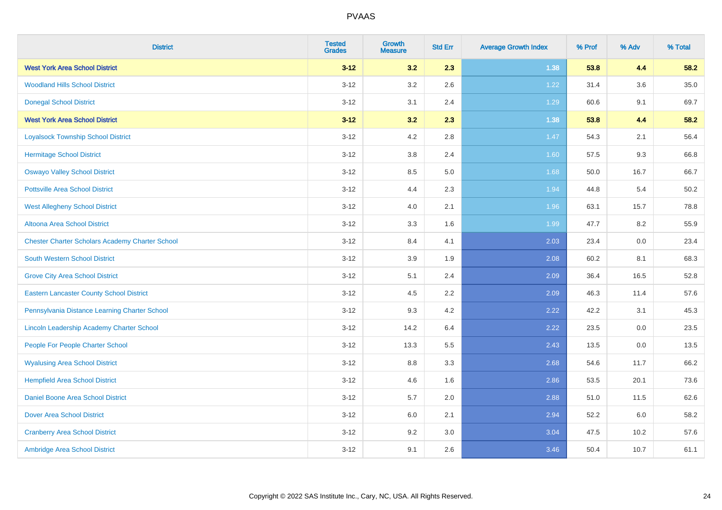| <b>District</b>                                        | <b>Tested</b><br><b>Grades</b> | Growth<br><b>Measure</b> | <b>Std Err</b> | <b>Average Growth Index</b> | % Prof | % Adv   | % Total |
|--------------------------------------------------------|--------------------------------|--------------------------|----------------|-----------------------------|--------|---------|---------|
| <b>West York Area School District</b>                  | $3 - 12$                       | 3.2                      | 2.3            | 1.38                        | 53.8   | 4.4     | 58.2    |
| <b>Woodland Hills School District</b>                  | $3 - 12$                       | 3.2                      | 2.6            | 1.22                        | 31.4   | 3.6     | 35.0    |
| <b>Donegal School District</b>                         | $3 - 12$                       | 3.1                      | 2.4            | 1.29                        | 60.6   | 9.1     | 69.7    |
| <b>West York Area School District</b>                  | $3 - 12$                       | 3.2                      | 2.3            | 1.38                        | 53.8   | 4.4     | 58.2    |
| <b>Loyalsock Township School District</b>              | $3 - 12$                       | 4.2                      | 2.8            | 1.47                        | 54.3   | 2.1     | 56.4    |
| <b>Hermitage School District</b>                       | $3 - 12$                       | 3.8                      | 2.4            | 1.60                        | 57.5   | 9.3     | 66.8    |
| <b>Oswayo Valley School District</b>                   | $3 - 12$                       | 8.5                      | 5.0            | 1.68                        | 50.0   | 16.7    | 66.7    |
| <b>Pottsville Area School District</b>                 | $3 - 12$                       | 4.4                      | 2.3            | 1.94                        | 44.8   | 5.4     | 50.2    |
| <b>West Allegheny School District</b>                  | $3 - 12$                       | 4.0                      | 2.1            | 1.96                        | 63.1   | 15.7    | 78.8    |
| Altoona Area School District                           | $3 - 12$                       | 3.3                      | 1.6            | 1.99                        | 47.7   | 8.2     | 55.9    |
| <b>Chester Charter Scholars Academy Charter School</b> | $3 - 12$                       | 8.4                      | 4.1            | 2.03                        | 23.4   | 0.0     | 23.4    |
| <b>South Western School District</b>                   | $3 - 12$                       | 3.9                      | 1.9            | 2.08                        | 60.2   | 8.1     | 68.3    |
| <b>Grove City Area School District</b>                 | $3 - 12$                       | 5.1                      | 2.4            | 2.09                        | 36.4   | 16.5    | 52.8    |
| <b>Eastern Lancaster County School District</b>        | $3 - 12$                       | 4.5                      | 2.2            | 2.09                        | 46.3   | 11.4    | 57.6    |
| Pennsylvania Distance Learning Charter School          | $3 - 12$                       | 9.3                      | 4.2            | 2.22                        | 42.2   | 3.1     | 45.3    |
| Lincoln Leadership Academy Charter School              | $3 - 12$                       | 14.2                     | 6.4            | 2.22                        | 23.5   | $0.0\,$ | 23.5    |
| People For People Charter School                       | $3 - 12$                       | 13.3                     | 5.5            | 2.43                        | 13.5   | 0.0     | 13.5    |
| <b>Wyalusing Area School District</b>                  | $3 - 12$                       | 8.8                      | 3.3            | 2.68                        | 54.6   | 11.7    | 66.2    |
| <b>Hempfield Area School District</b>                  | $3 - 12$                       | 4.6                      | 1.6            | 2.86                        | 53.5   | 20.1    | 73.6    |
| <b>Daniel Boone Area School District</b>               | $3 - 12$                       | 5.7                      | 2.0            | 2.88                        | 51.0   | 11.5    | 62.6    |
| <b>Dover Area School District</b>                      | $3 - 12$                       | 6.0                      | 2.1            | 2.94                        | 52.2   | 6.0     | 58.2    |
| <b>Cranberry Area School District</b>                  | $3 - 12$                       | 9.2                      | 3.0            | 3.04                        | 47.5   | 10.2    | 57.6    |
| Ambridge Area School District                          | $3 - 12$                       | 9.1                      | 2.6            | 3.46                        | 50.4   | 10.7    | 61.1    |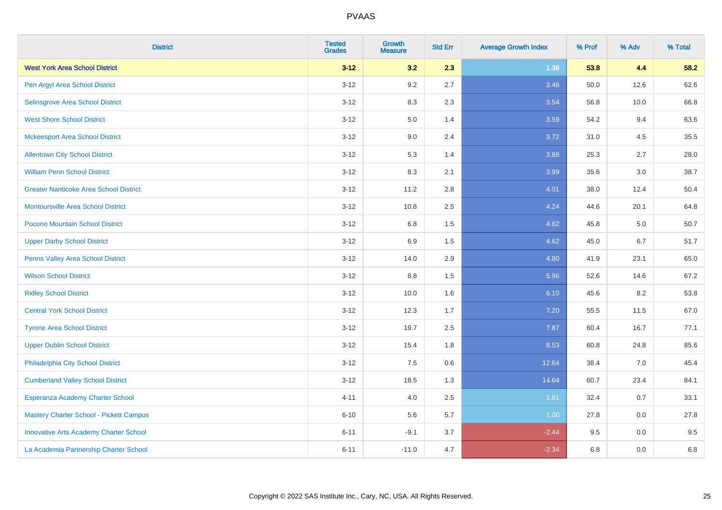| <b>District</b>                               | <b>Tested</b><br><b>Grades</b> | <b>Growth</b><br><b>Measure</b> | <b>Std Err</b> | <b>Average Growth Index</b> | % Prof | % Adv   | % Total |
|-----------------------------------------------|--------------------------------|---------------------------------|----------------|-----------------------------|--------|---------|---------|
| <b>West York Area School District</b>         | $3 - 12$                       | 3.2                             | 2.3            | 1.38                        | 53.8   | 4.4     | 58.2    |
| Pen Argyl Area School District                | $3 - 12$                       | 9.2                             | 2.7            | 3.46                        | 50.0   | 12.6    | 62.6    |
| Selinsgrove Area School District              | $3 - 12$                       | 8.3                             | 2.3            | 3.54                        | 56.8   | 10.0    | 66.8    |
| <b>West Shore School District</b>             | $3 - 12$                       | 5.0                             | 1.4            | 3.59                        | 54.2   | 9.4     | 63.6    |
| <b>Mckeesport Area School District</b>        | $3 - 12$                       | 9.0                             | 2.4            | 3.72                        | 31.0   | 4.5     | 35.5    |
| <b>Allentown City School District</b>         | $3 - 12$                       | 5.3                             | 1.4            | 3.88                        | 25.3   | 2.7     | 28.0    |
| <b>William Penn School District</b>           | $3 - 12$                       | 8.3                             | 2.1            | 3.99                        | 35.6   | 3.0     | 38.7    |
| <b>Greater Nanticoke Area School District</b> | $3 - 12$                       | 11.2                            | 2.8            | 4.01                        | 38.0   | 12.4    | 50.4    |
| Montoursville Area School District            | $3 - 12$                       | 10.8                            | 2.5            | 4.24                        | 44.6   | 20.1    | 64.8    |
| Pocono Mountain School District               | $3 - 12$                       | 6.8                             | 1.5            | 4.62                        | 45.8   | 5.0     | 50.7    |
| <b>Upper Darby School District</b>            | $3 - 12$                       | 6.9                             | 1.5            | 4.62                        | 45.0   | 6.7     | 51.7    |
| Penns Valley Area School District             | $3 - 12$                       | 14.0                            | 2.9            | 4.80                        | 41.9   | 23.1    | 65.0    |
| <b>Wilson School District</b>                 | $3-12$                         | 8.8                             | 1.5            | 5.96                        | 52.6   | 14.6    | 67.2    |
| <b>Ridley School District</b>                 | $3 - 12$                       | 10.0                            | 1.6            | 6.10                        | 45.6   | 8.2     | 53.8    |
| <b>Central York School District</b>           | $3 - 12$                       | 12.3                            | 1.7            | $7.20$                      | 55.5   | 11.5    | 67.0    |
| <b>Tyrone Area School District</b>            | $3 - 12$                       | 19.7                            | 2.5            | 7.87                        | 60.4   | 16.7    | 77.1    |
| <b>Upper Dublin School District</b>           | $3 - 12$                       | 15.4                            | 1.8            | 8.53                        | 60.8   | 24.8    | 85.6    |
| Philadelphia City School District             | $3 - 12$                       | 7.5                             | 0.6            | 12.64                       | 38.4   | 7.0     | 45.4    |
| <b>Cumberland Valley School District</b>      | $3 - 12$                       | 18.5                            | 1.3            | 14.64                       | 60.7   | 23.4    | 84.1    |
| Esperanza Academy Charter School              | $4 - 11$                       | 4.0                             | 2.5            | 1.61                        | 32.4   | $0.7\,$ | 33.1    |
| Mastery Charter School - Pickett Campus       | $6 - 10$                       | 5.6                             | 5.7            | 1.00                        | 27.8   | 0.0     | 27.8    |
| <b>Innovative Arts Academy Charter School</b> | $6 - 11$                       | $-9.1$                          | 3.7            | $-2.44$                     | 9.5    | 0.0     | 9.5     |
| La Academia Partnership Charter School        | $6 - 11$                       | $-11.0$                         | 4.7            | $-2.34$                     | 6.8    | 0.0     | 6.8     |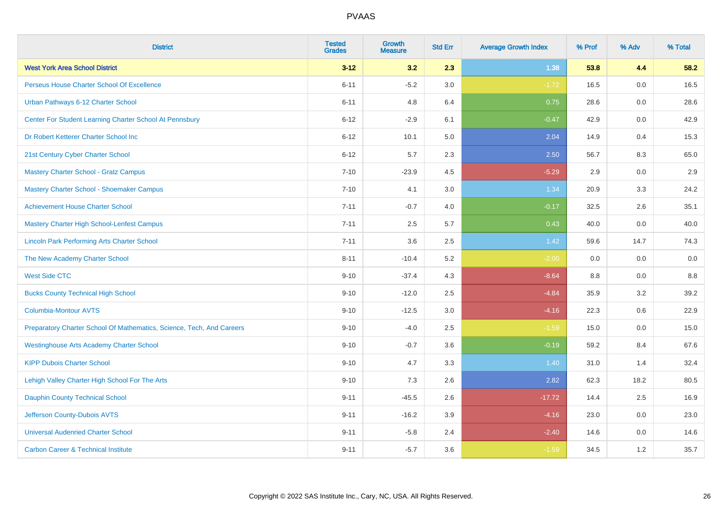| <b>District</b>                                                       | <b>Tested</b><br><b>Grades</b> | <b>Growth</b><br><b>Measure</b> | <b>Std Err</b> | <b>Average Growth Index</b> | % Prof | % Adv | % Total |
|-----------------------------------------------------------------------|--------------------------------|---------------------------------|----------------|-----------------------------|--------|-------|---------|
| <b>West York Area School District</b>                                 | $3 - 12$                       | 3.2                             | 2.3            | 1.38                        | 53.8   | 4.4   | 58.2    |
| Perseus House Charter School Of Excellence                            | $6 - 11$                       | $-5.2$                          | 3.0            | $-1.72$                     | 16.5   | 0.0   | 16.5    |
| Urban Pathways 6-12 Charter School                                    | $6 - 11$                       | 4.8                             | 6.4            | 0.75                        | 28.6   | 0.0   | 28.6    |
| Center For Student Learning Charter School At Pennsbury               | $6 - 12$                       | $-2.9$                          | 6.1            | $-0.47$                     | 42.9   | 0.0   | 42.9    |
| Dr Robert Ketterer Charter School Inc                                 | $6 - 12$                       | 10.1                            | 5.0            | 2.04                        | 14.9   | 0.4   | 15.3    |
| 21st Century Cyber Charter School                                     | $6 - 12$                       | 5.7                             | 2.3            | 2.50                        | 56.7   | 8.3   | 65.0    |
| <b>Mastery Charter School - Gratz Campus</b>                          | $7 - 10$                       | $-23.9$                         | 4.5            | $-5.29$                     | 2.9    | 0.0   | 2.9     |
| Mastery Charter School - Shoemaker Campus                             | $7 - 10$                       | 4.1                             | 3.0            | 1.34                        | 20.9   | 3.3   | 24.2    |
| <b>Achievement House Charter School</b>                               | $7 - 11$                       | $-0.7$                          | 4.0            | $-0.17$                     | 32.5   | 2.6   | 35.1    |
| <b>Mastery Charter High School-Lenfest Campus</b>                     | $7 - 11$                       | 2.5                             | 5.7            | 0.43                        | 40.0   | 0.0   | 40.0    |
| <b>Lincoln Park Performing Arts Charter School</b>                    | $7 - 11$                       | 3.6                             | 2.5            | 1.42                        | 59.6   | 14.7  | 74.3    |
| The New Academy Charter School                                        | $8 - 11$                       | $-10.4$                         | 5.2            | $-2.00$                     | 0.0    | 0.0   | 0.0     |
| <b>West Side CTC</b>                                                  | $9 - 10$                       | $-37.4$                         | 4.3            | $-8.64$                     | 8.8    | 0.0   | 8.8     |
| <b>Bucks County Technical High School</b>                             | $9 - 10$                       | $-12.0$                         | 2.5            | $-4.84$                     | 35.9   | 3.2   | 39.2    |
| <b>Columbia-Montour AVTS</b>                                          | $9 - 10$                       | $-12.5$                         | 3.0            | $-4.16$                     | 22.3   | 0.6   | 22.9    |
| Preparatory Charter School Of Mathematics, Science, Tech, And Careers | $9 - 10$                       | $-4.0$                          | 2.5            | $-1.59$                     | 15.0   | 0.0   | 15.0    |
| <b>Westinghouse Arts Academy Charter School</b>                       | $9 - 10$                       | $-0.7$                          | 3.6            | $-0.19$                     | 59.2   | 8.4   | 67.6    |
| <b>KIPP Dubois Charter School</b>                                     | $9 - 10$                       | 4.7                             | 3.3            | 1.40                        | 31.0   | 1.4   | 32.4    |
| Lehigh Valley Charter High School For The Arts                        | $9 - 10$                       | 7.3                             | 2.6            | 2.82                        | 62.3   | 18.2  | 80.5    |
| <b>Dauphin County Technical School</b>                                | $9 - 11$                       | $-45.5$                         | 2.6            | $-17.72$                    | 14.4   | 2.5   | 16.9    |
| Jefferson County-Dubois AVTS                                          | $9 - 11$                       | $-16.2$                         | 3.9            | $-4.16$                     | 23.0   | 0.0   | 23.0    |
| <b>Universal Audenried Charter School</b>                             | $9 - 11$                       | $-5.8$                          | 2.4            | $-2.40$                     | 14.6   | 0.0   | 14.6    |
| <b>Carbon Career &amp; Technical Institute</b>                        | $9 - 11$                       | $-5.7$                          | 3.6            | $-1.59$                     | 34.5   | 1.2   | 35.7    |